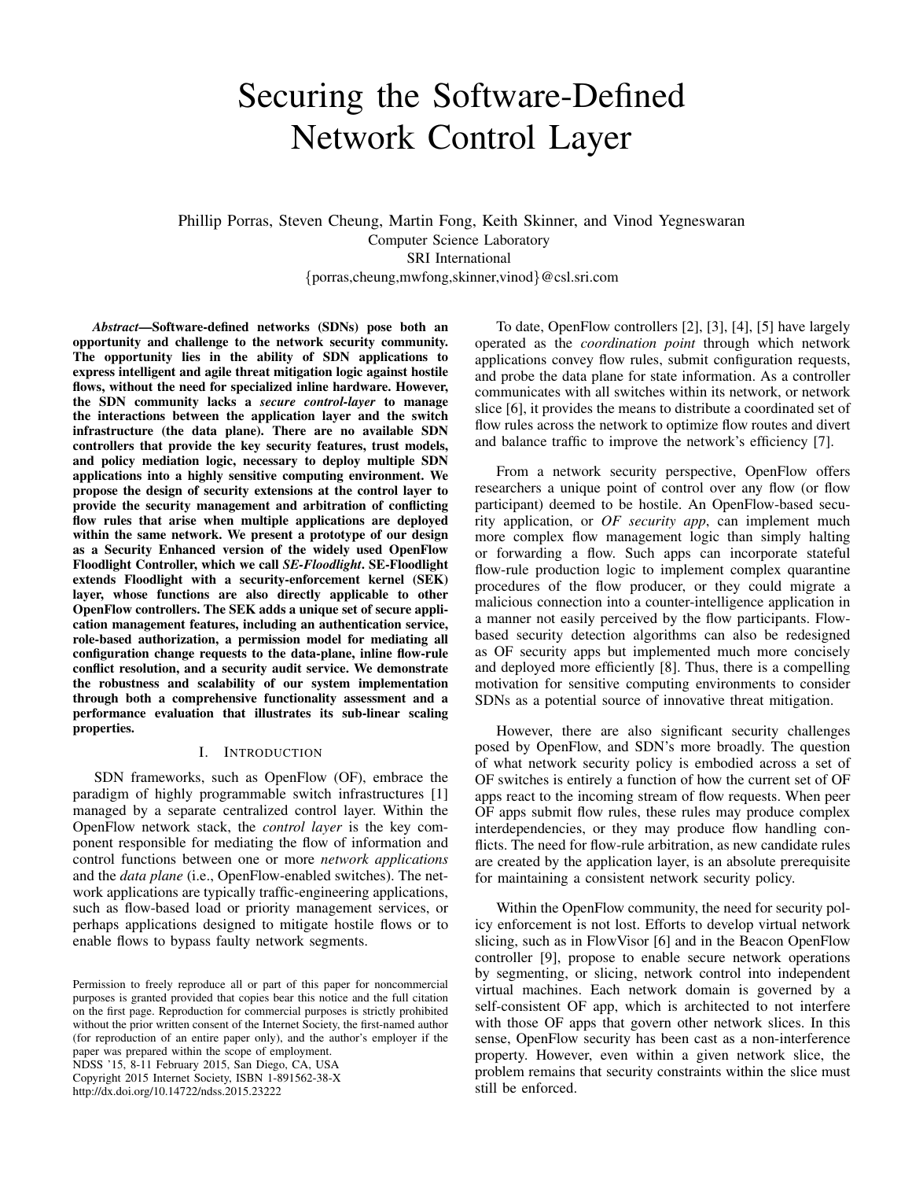# Securing the Software-Defined Network Control Layer

Phillip Porras, Steven Cheung, Martin Fong, Keith Skinner, and Vinod Yegneswaran Computer Science Laboratory SRI International {porras,cheung,mwfong,skinner,vinod}@csl.sri.com

*Abstract*—Software-defined networks (SDNs) pose both an opportunity and challenge to the network security community. The opportunity lies in the ability of SDN applications to express intelligent and agile threat mitigation logic against hostile flows, without the need for specialized inline hardware. However, the SDN community lacks a *secure control-layer* to manage the interactions between the application layer and the switch infrastructure (the data plane). There are no available SDN controllers that provide the key security features, trust models, and policy mediation logic, necessary to deploy multiple SDN applications into a highly sensitive computing environment. We propose the design of security extensions at the control layer to provide the security management and arbitration of conflicting flow rules that arise when multiple applications are deployed within the same network. We present a prototype of our design as a Security Enhanced version of the widely used OpenFlow Floodlight Controller, which we call *SE-Floodlight*. SE-Floodlight extends Floodlight with a security-enforcement kernel (SEK) layer, whose functions are also directly applicable to other OpenFlow controllers. The SEK adds a unique set of secure application management features, including an authentication service, role-based authorization, a permission model for mediating all configuration change requests to the data-plane, inline flow-rule conflict resolution, and a security audit service. We demonstrate the robustness and scalability of our system implementation through both a comprehensive functionality assessment and a performance evaluation that illustrates its sub-linear scaling properties.

# I. INTRODUCTION

SDN frameworks, such as OpenFlow (OF), embrace the paradigm of highly programmable switch infrastructures [1] managed by a separate centralized control layer. Within the OpenFlow network stack, the *control layer* is the key component responsible for mediating the flow of information and control functions between one or more *network applications* and the *data plane* (i.e., OpenFlow-enabled switches). The network applications are typically traffic-engineering applications, such as flow-based load or priority management services, or perhaps applications designed to mitigate hostile flows or to enable flows to bypass faulty network segments.

NDSS '15, 8-11 February 2015, San Diego, CA, USA Copyright 2015 Internet Society, ISBN 1-891562-38-X http://dx.doi.org/10.14722/ndss.2015.23222

To date, OpenFlow controllers [2], [3], [4], [5] have largely operated as the *coordination point* through which network applications convey flow rules, submit configuration requests, and probe the data plane for state information. As a controller communicates with all switches within its network, or network slice [6], it provides the means to distribute a coordinated set of flow rules across the network to optimize flow routes and divert and balance traffic to improve the network's efficiency [7].

From a network security perspective, OpenFlow offers researchers a unique point of control over any flow (or flow participant) deemed to be hostile. An OpenFlow-based security application, or *OF security app*, can implement much more complex flow management logic than simply halting or forwarding a flow. Such apps can incorporate stateful flow-rule production logic to implement complex quarantine procedures of the flow producer, or they could migrate a malicious connection into a counter-intelligence application in a manner not easily perceived by the flow participants. Flowbased security detection algorithms can also be redesigned as OF security apps but implemented much more concisely and deployed more efficiently [8]. Thus, there is a compelling motivation for sensitive computing environments to consider SDNs as a potential source of innovative threat mitigation.

However, there are also significant security challenges posed by OpenFlow, and SDN's more broadly. The question of what network security policy is embodied across a set of OF switches is entirely a function of how the current set of OF apps react to the incoming stream of flow requests. When peer OF apps submit flow rules, these rules may produce complex interdependencies, or they may produce flow handling conflicts. The need for flow-rule arbitration, as new candidate rules are created by the application layer, is an absolute prerequisite for maintaining a consistent network security policy.

Within the OpenFlow community, the need for security policy enforcement is not lost. Efforts to develop virtual network slicing, such as in FlowVisor [6] and in the Beacon OpenFlow controller [9], propose to enable secure network operations by segmenting, or slicing, network control into independent virtual machines. Each network domain is governed by a self-consistent OF app, which is architected to not interfere with those OF apps that govern other network slices. In this sense, OpenFlow security has been cast as a non-interference property. However, even within a given network slice, the problem remains that security constraints within the slice must still be enforced.

Permission to freely reproduce all or part of this paper for noncommercial purposes is granted provided that copies bear this notice and the full citation on the first page. Reproduction for commercial purposes is strictly prohibited without the prior written consent of the Internet Society, the first-named author (for reproduction of an entire paper only), and the author's employer if the paper was prepared within the scope of employment.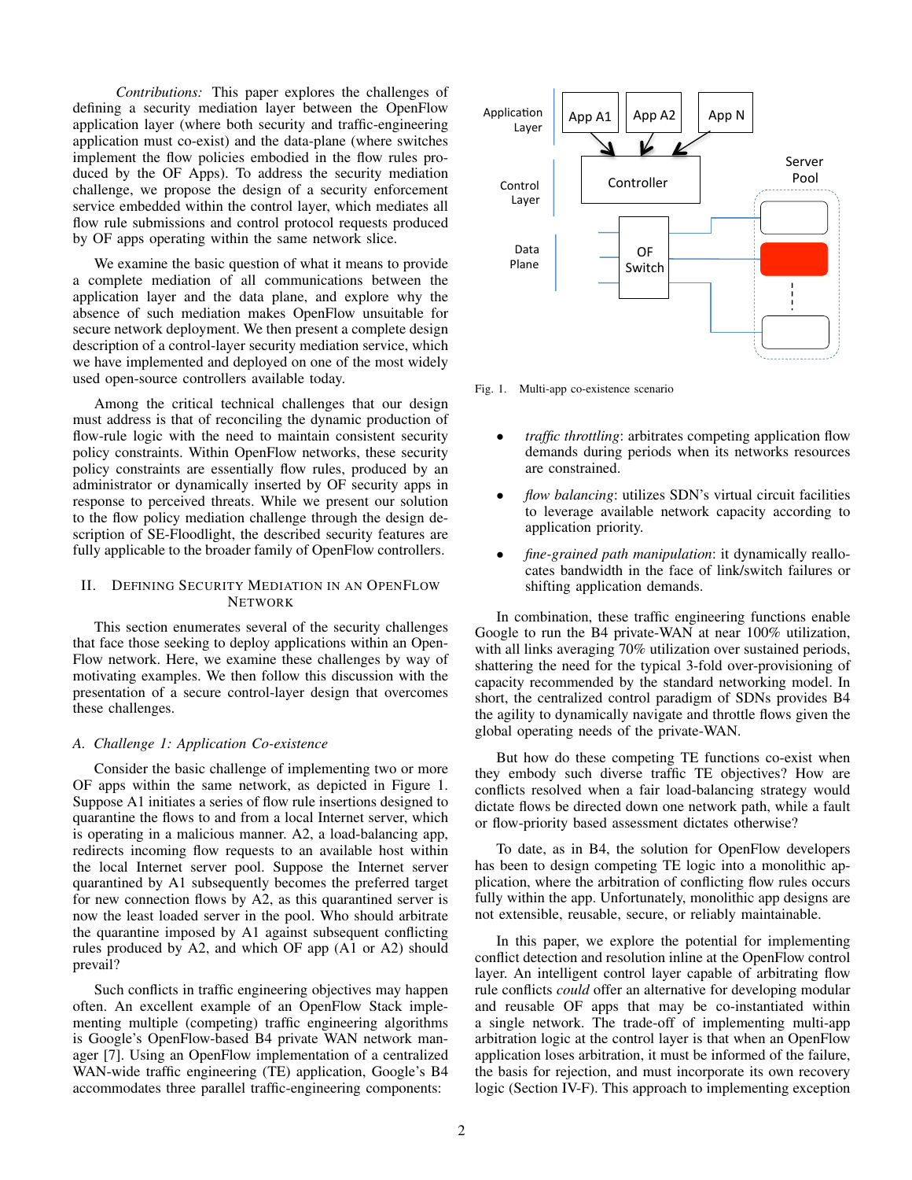*Contributions:* This paper explores the challenges of defining a security mediation layer between the OpenFlow application layer (where both security and traffic-engineering application must co-exist) and the data-plane (where switches implement the flow policies embodied in the flow rules produced by the OF Apps). To address the security mediation challenge, we propose the design of a security enforcement service embedded within the control layer, which mediates all flow rule submissions and control protocol requests produced by OF apps operating within the same network slice.

We examine the basic question of what it means to provide a complete mediation of all communications between the application layer and the data plane, and explore why the absence of such mediation makes OpenFlow unsuitable for secure network deployment. We then present a complete design description of a control-layer security mediation service, which we have implemented and deployed on one of the most widely used open-source controllers available today.

Among the critical technical challenges that our design must address is that of reconciling the dynamic production of flow-rule logic with the need to maintain consistent security policy constraints. Within OpenFlow networks, these security policy constraints are essentially flow rules, produced by an administrator or dynamically inserted by OF security apps in response to perceived threats. While we present our solution to the flow policy mediation challenge through the design description of SE-Floodlight, the described security features are fully applicable to the broader family of OpenFlow controllers.

# II. DEFINING SECURITY MEDIATION IN AN OPENFLOW **NETWORK**

This section enumerates several of the security challenges that face those seeking to deploy applications within an Open-Flow network. Here, we examine these challenges by way of motivating examples. We then follow this discussion with the presentation of a secure control-layer design that overcomes these challenges.

# *A. Challenge 1: Application Co-existence*

Consider the basic challenge of implementing two or more OF apps within the same network, as depicted in Figure 1. Suppose A1 initiates a series of flow rule insertions designed to quarantine the flows to and from a local Internet server, which is operating in a malicious manner. A2, a load-balancing app, redirects incoming flow requests to an available host within the local Internet server pool. Suppose the Internet server quarantined by A1 subsequently becomes the preferred target for new connection flows by A2, as this quarantined server is now the least loaded server in the pool. Who should arbitrate the quarantine imposed by A1 against subsequent conflicting rules produced by A2, and which OF app (A1 or A2) should prevail?

Such conflicts in traffic engineering objectives may happen often. An excellent example of an OpenFlow Stack implementing multiple (competing) traffic engineering algorithms is Google's OpenFlow-based B4 private WAN network manager [7]. Using an OpenFlow implementation of a centralized WAN-wide traffic engineering (TE) application, Google's B4 accommodates three parallel traffic-engineering components:



Fig. 1. Multi-app co-existence scenario

- *traffic throttling*: arbitrates competing application flow demands during periods when its networks resources are constrained.
- *flow balancing*: utilizes SDN's virtual circuit facilities to leverage available network capacity according to application priority.
- *fine-grained path manipulation*: it dynamically reallocates bandwidth in the face of link/switch failures or shifting application demands.

In combination, these traffic engineering functions enable Google to run the B4 private-WAN at near 100% utilization, with all links averaging 70% utilization over sustained periods, shattering the need for the typical 3-fold over-provisioning of capacity recommended by the standard networking model. In short, the centralized control paradigm of SDNs provides B4 the agility to dynamically navigate and throttle flows given the global operating needs of the private-WAN.

But how do these competing TE functions co-exist when they embody such diverse traffic TE objectives? How are conflicts resolved when a fair load-balancing strategy would dictate flows be directed down one network path, while a fault or flow-priority based assessment dictates otherwise?

To date, as in B4, the solution for OpenFlow developers has been to design competing TE logic into a monolithic application, where the arbitration of conflicting flow rules occurs fully within the app. Unfortunately, monolithic app designs are not extensible, reusable, secure, or reliably maintainable.

In this paper, we explore the potential for implementing conflict detection and resolution inline at the OpenFlow control layer. An intelligent control layer capable of arbitrating flow rule conflicts *could* offer an alternative for developing modular and reusable OF apps that may be co-instantiated within a single network. The trade-off of implementing multi-app arbitration logic at the control layer is that when an OpenFlow application loses arbitration, it must be informed of the failure, the basis for rejection, and must incorporate its own recovery logic (Section IV-F). This approach to implementing exception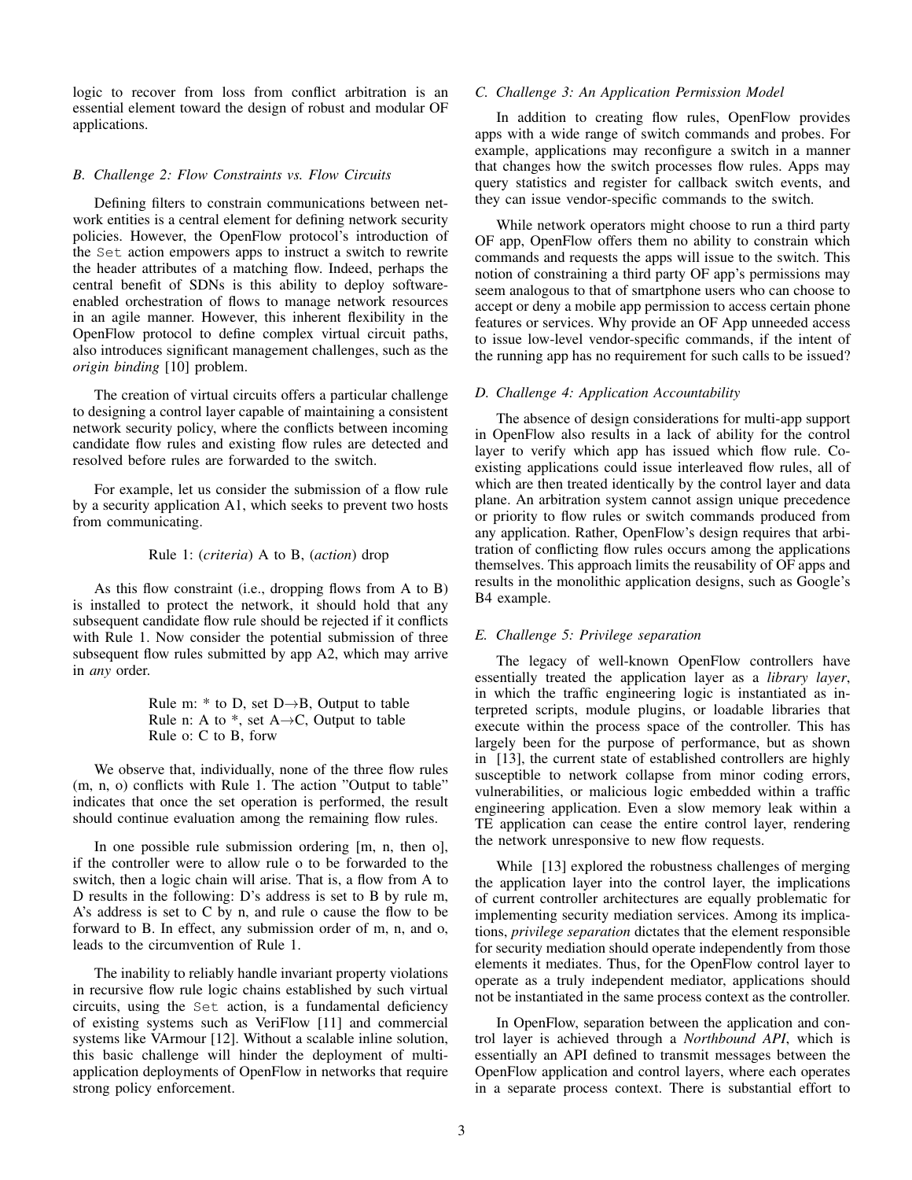logic to recover from loss from conflict arbitration is an essential element toward the design of robust and modular OF applications.

#### *B. Challenge 2: Flow Constraints vs. Flow Circuits*

Defining filters to constrain communications between network entities is a central element for defining network security policies. However, the OpenFlow protocol's introduction of the Set action empowers apps to instruct a switch to rewrite the header attributes of a matching flow. Indeed, perhaps the central benefit of SDNs is this ability to deploy softwareenabled orchestration of flows to manage network resources in an agile manner. However, this inherent flexibility in the OpenFlow protocol to define complex virtual circuit paths, also introduces significant management challenges, such as the *origin binding* [10] problem.

The creation of virtual circuits offers a particular challenge to designing a control layer capable of maintaining a consistent network security policy, where the conflicts between incoming candidate flow rules and existing flow rules are detected and resolved before rules are forwarded to the switch.

For example, let us consider the submission of a flow rule by a security application A1, which seeks to prevent two hosts from communicating.

# Rule 1: (*criteria*) A to B, (*action*) drop

As this flow constraint (i.e., dropping flows from A to B) is installed to protect the network, it should hold that any subsequent candidate flow rule should be rejected if it conflicts with Rule 1. Now consider the potential submission of three subsequent flow rules submitted by app A2, which may arrive in *any* order.

> Rule m:  $*$  to D, set D $\rightarrow$ B, Output to table Rule n: A to  $*$ , set A $\rightarrow$ C, Output to table Rule o: C to B, forw

We observe that, individually, none of the three flow rules (m, n, o) conflicts with Rule 1. The action "Output to table" indicates that once the set operation is performed, the result should continue evaluation among the remaining flow rules.

In one possible rule submission ordering [m, n, then o], if the controller were to allow rule o to be forwarded to the switch, then a logic chain will arise. That is, a flow from A to D results in the following: D's address is set to B by rule m, A's address is set to C by n, and rule o cause the flow to be forward to B. In effect, any submission order of m, n, and o, leads to the circumvention of Rule 1.

The inability to reliably handle invariant property violations in recursive flow rule logic chains established by such virtual circuits, using the Set action, is a fundamental deficiency of existing systems such as VeriFlow [11] and commercial systems like VArmour [12]. Without a scalable inline solution, this basic challenge will hinder the deployment of multiapplication deployments of OpenFlow in networks that require strong policy enforcement.

#### *C. Challenge 3: An Application Permission Model*

In addition to creating flow rules, OpenFlow provides apps with a wide range of switch commands and probes. For example, applications may reconfigure a switch in a manner that changes how the switch processes flow rules. Apps may query statistics and register for callback switch events, and they can issue vendor-specific commands to the switch.

While network operators might choose to run a third party OF app, OpenFlow offers them no ability to constrain which commands and requests the apps will issue to the switch. This notion of constraining a third party OF app's permissions may seem analogous to that of smartphone users who can choose to accept or deny a mobile app permission to access certain phone features or services. Why provide an OF App unneeded access to issue low-level vendor-specific commands, if the intent of the running app has no requirement for such calls to be issued?

#### *D. Challenge 4: Application Accountability*

The absence of design considerations for multi-app support in OpenFlow also results in a lack of ability for the control layer to verify which app has issued which flow rule. Coexisting applications could issue interleaved flow rules, all of which are then treated identically by the control layer and data plane. An arbitration system cannot assign unique precedence or priority to flow rules or switch commands produced from any application. Rather, OpenFlow's design requires that arbitration of conflicting flow rules occurs among the applications themselves. This approach limits the reusability of OF apps and results in the monolithic application designs, such as Google's B4 example.

#### *E. Challenge 5: Privilege separation*

The legacy of well-known OpenFlow controllers have essentially treated the application layer as a *library layer*, in which the traffic engineering logic is instantiated as interpreted scripts, module plugins, or loadable libraries that execute within the process space of the controller. This has largely been for the purpose of performance, but as shown in [13], the current state of established controllers are highly susceptible to network collapse from minor coding errors, vulnerabilities, or malicious logic embedded within a traffic engineering application. Even a slow memory leak within a TE application can cease the entire control layer, rendering the network unresponsive to new flow requests.

While [13] explored the robustness challenges of merging the application layer into the control layer, the implications of current controller architectures are equally problematic for implementing security mediation services. Among its implications, *privilege separation* dictates that the element responsible for security mediation should operate independently from those elements it mediates. Thus, for the OpenFlow control layer to operate as a truly independent mediator, applications should not be instantiated in the same process context as the controller.

In OpenFlow, separation between the application and control layer is achieved through a *Northbound API*, which is essentially an API defined to transmit messages between the OpenFlow application and control layers, where each operates in a separate process context. There is substantial effort to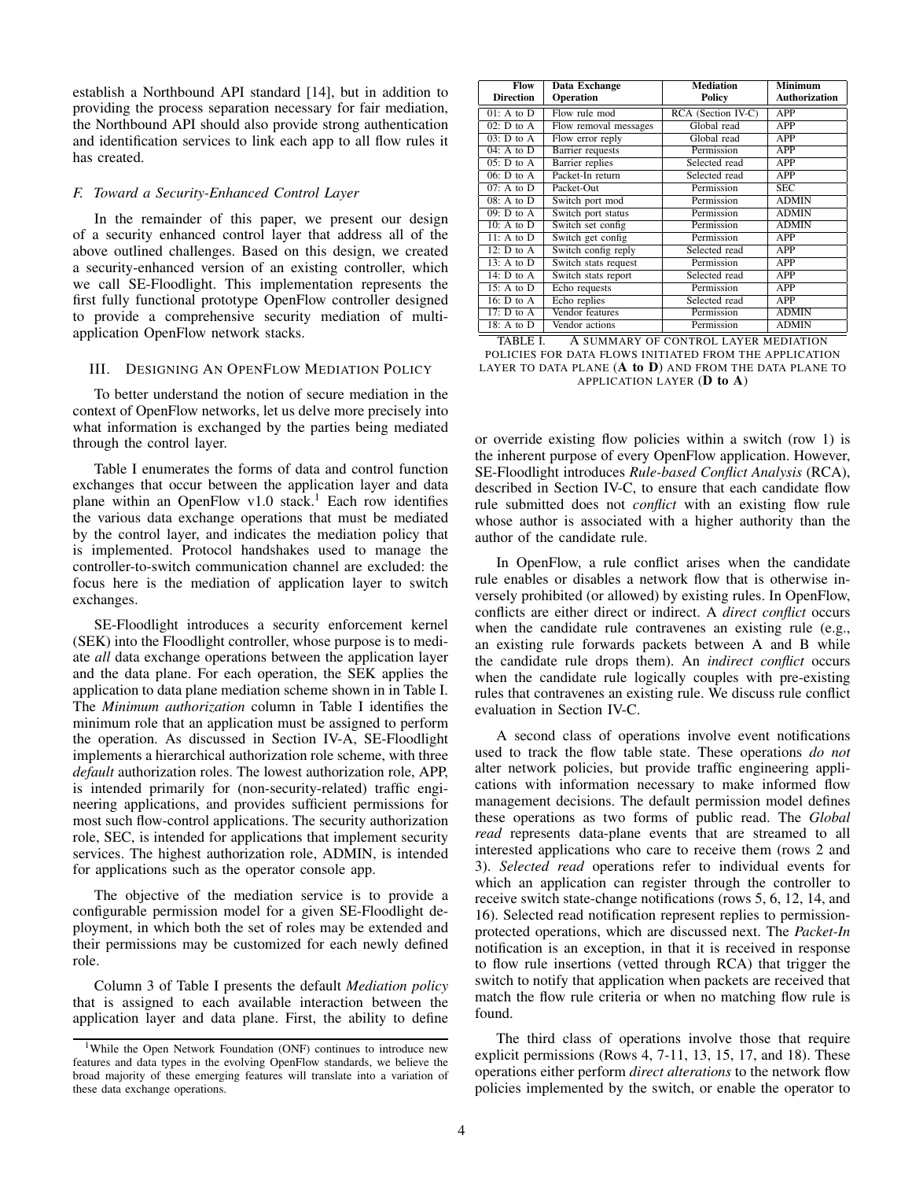establish a Northbound API standard [14], but in addition to providing the process separation necessary for fair mediation, the Northbound API should also provide strong authentication and identification services to link each app to all flow rules it has created.

#### *F. Toward a Security-Enhanced Control Layer*

In the remainder of this paper, we present our design of a security enhanced control layer that address all of the above outlined challenges. Based on this design, we created a security-enhanced version of an existing controller, which we call SE-Floodlight. This implementation represents the first fully functional prototype OpenFlow controller designed to provide a comprehensive security mediation of multiapplication OpenFlow network stacks.

## III. DESIGNING AN OPENFLOW MEDIATION POLICY

To better understand the notion of secure mediation in the context of OpenFlow networks, let us delve more precisely into what information is exchanged by the parties being mediated through the control layer.

Table I enumerates the forms of data and control function exchanges that occur between the application layer and data plane within an OpenFlow v1.0 stack.<sup>1</sup> Each row identifies the various data exchange operations that must be mediated by the control layer, and indicates the mediation policy that is implemented. Protocol handshakes used to manage the controller-to-switch communication channel are excluded: the focus here is the mediation of application layer to switch exchanges.

SE-Floodlight introduces a security enforcement kernel (SEK) into the Floodlight controller, whose purpose is to mediate *all* data exchange operations between the application layer and the data plane. For each operation, the SEK applies the application to data plane mediation scheme shown in in Table I. The *Minimum authorization* column in Table I identifies the minimum role that an application must be assigned to perform the operation. As discussed in Section IV-A, SE-Floodlight implements a hierarchical authorization role scheme, with three *default* authorization roles. The lowest authorization role, APP, is intended primarily for (non-security-related) traffic engineering applications, and provides sufficient permissions for most such flow-control applications. The security authorization role, SEC, is intended for applications that implement security services. The highest authorization role, ADMIN, is intended for applications such as the operator console app.

The objective of the mediation service is to provide a configurable permission model for a given SE-Floodlight deployment, in which both the set of roles may be extended and their permissions may be customized for each newly defined role.

Column 3 of Table I presents the default *Mediation policy* that is assigned to each available interaction between the application layer and data plane. First, the ability to define

| Flow<br><b>Direction</b> | Data Exchange<br>Operation | <b>Mediation</b><br>Policy | <b>Minimum</b><br><b>Authorization</b> |
|--------------------------|----------------------------|----------------------------|----------------------------------------|
| 01: A to D               | Flow rule mod              | RCA (Section IV-C)         | APP                                    |
| $\overline{02}$ : D to A | Flow removal messages      | Global read                | <b>APP</b>                             |
| $03: D$ to A             | Flow error reply           | Global read                | APP                                    |
| $04:$ A to D             | Barrier requests           | Permission                 | APP                                    |
| $05$ : D to A            | <b>Barrier</b> replies     | Selected read              | APP                                    |
| $06: D$ to A             | Packet-In return           | Selected read              | APP                                    |
| 07: A to D               | Packet-Out                 | Permission                 | <b>SEC</b>                             |
| $08$ : A to D            | Switch port mod            | Permission                 | <b>ADMIN</b>                           |
| $09: D$ to A             | Switch port status         | Permission                 | <b>ADMIN</b>                           |
| $10:$ A to D             | Switch set config          | Permission                 | <b>ADMIN</b>                           |
| 11: A to $D$             | Switch get config          | Permission                 | APP                                    |
| $12: D$ to A             | Switch config reply        | Selected read              | APP                                    |
| 13: A to $D$             | Switch stats request       | Permission                 | APP                                    |
| 14: $D$ to $A$           | Switch stats report        | Selected read              | APP                                    |
| $15:$ A to D             | Echo requests              | Permission                 | APP                                    |
| 16: $D$ to $A$           | Echo replies               | Selected read              | APP                                    |
| 17: $D$ to $A$           | Vendor features            | Permission                 | <b>ADMIN</b>                           |
| 18: A to $D$             | Vendor actions             | Permission                 | <b>ADMIN</b>                           |

TABLE I. A SUMMARY OF CONTROL LAYER MEDIATION POLICIES FOR DATA FLOWS INITIATED FROM THE APPLICATION LAYER TO DATA PLANE  $(A to D)$  and from the data plane to APPLICATION LAYER  $(D to A)$ 

or override existing flow policies within a switch (row 1) is the inherent purpose of every OpenFlow application. However, SE-Floodlight introduces *Rule-based Conflict Analysis* (RCA), described in Section IV-C, to ensure that each candidate flow rule submitted does not *conflict* with an existing flow rule whose author is associated with a higher authority than the author of the candidate rule.

In OpenFlow, a rule conflict arises when the candidate rule enables or disables a network flow that is otherwise inversely prohibited (or allowed) by existing rules. In OpenFlow, conflicts are either direct or indirect. A *direct conflict* occurs when the candidate rule contravenes an existing rule (e.g., an existing rule forwards packets between A and B while the candidate rule drops them). An *indirect conflict* occurs when the candidate rule logically couples with pre-existing rules that contravenes an existing rule. We discuss rule conflict evaluation in Section IV-C.

A second class of operations involve event notifications used to track the flow table state. These operations *do not* alter network policies, but provide traffic engineering applications with information necessary to make informed flow management decisions. The default permission model defines these operations as two forms of public read. The *Global read* represents data-plane events that are streamed to all interested applications who care to receive them (rows 2 and 3). *Selected read* operations refer to individual events for which an application can register through the controller to receive switch state-change notifications (rows 5, 6, 12, 14, and 16). Selected read notification represent replies to permissionprotected operations, which are discussed next. The *Packet-In* notification is an exception, in that it is received in response to flow rule insertions (vetted through RCA) that trigger the switch to notify that application when packets are received that match the flow rule criteria or when no matching flow rule is found.

The third class of operations involve those that require explicit permissions (Rows 4, 7-11, 13, 15, 17, and 18). These operations either perform *direct alterations* to the network flow policies implemented by the switch, or enable the operator to

<sup>&</sup>lt;sup>1</sup>While the Open Network Foundation (ONF) continues to introduce new features and data types in the evolving OpenFlow standards, we believe the broad majority of these emerging features will translate into a variation of these data exchange operations.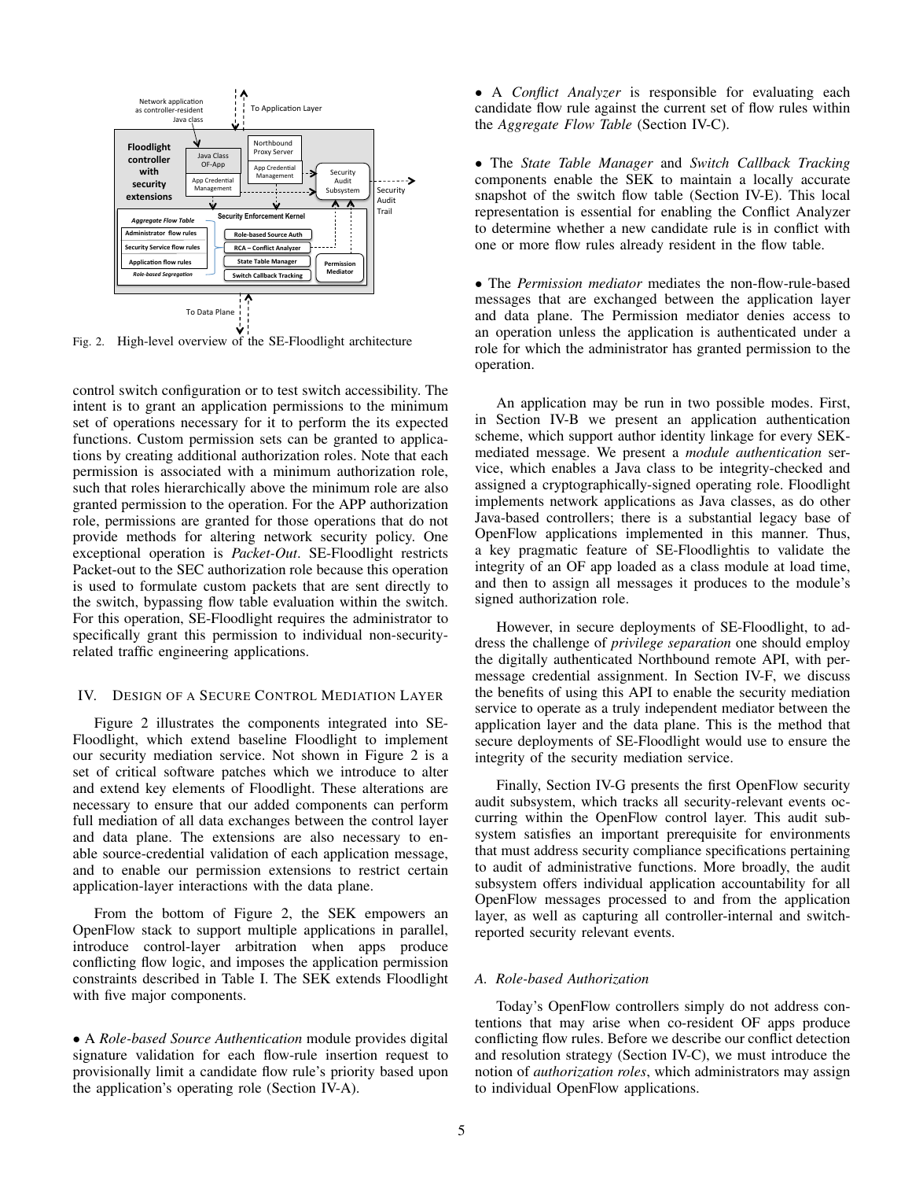

Fig. 2. High-level overview of the SE-Floodlight architecture

control switch configuration or to test switch accessibility. The intent is to grant an application permissions to the minimum set of operations necessary for it to perform the its expected functions. Custom permission sets can be granted to applications by creating additional authorization roles. Note that each permission is associated with a minimum authorization role, such that roles hierarchically above the minimum role are also granted permission to the operation. For the APP authorization role, permissions are granted for those operations that do not provide methods for altering network security policy. One exceptional operation is *Packet-Out*. SE-Floodlight restricts Packet-out to the SEC authorization role because this operation is used to formulate custom packets that are sent directly to the switch, bypassing flow table evaluation within the switch. For this operation, SE-Floodlight requires the administrator to specifically grant this permission to individual non-securityrelated traffic engineering applications.

# IV. DESIGN OF A SECURE CONTROL MEDIATION LAYER

Figure 2 illustrates the components integrated into SE-Floodlight, which extend baseline Floodlight to implement our security mediation service. Not shown in Figure 2 is a set of critical software patches which we introduce to alter and extend key elements of Floodlight. These alterations are necessary to ensure that our added components can perform full mediation of all data exchanges between the control layer and data plane. The extensions are also necessary to enable source-credential validation of each application message, and to enable our permission extensions to restrict certain application-layer interactions with the data plane.

From the bottom of Figure 2, the SEK empowers an OpenFlow stack to support multiple applications in parallel, introduce control-layer arbitration when apps produce conflicting flow logic, and imposes the application permission constraints described in Table I. The SEK extends Floodlight with five major components.

• A *Role-based Source Authentication* module provides digital signature validation for each flow-rule insertion request to provisionally limit a candidate flow rule's priority based upon the application's operating role (Section IV-A).

• A *Conflict Analyzer* is responsible for evaluating each candidate flow rule against the current set of flow rules within the *Aggregate Flow Table* (Section IV-C).

• The *State Table Manager* and *Switch Callback Tracking* components enable the SEK to maintain a locally accurate snapshot of the switch flow table (Section IV-E). This local representation is essential for enabling the Conflict Analyzer to determine whether a new candidate rule is in conflict with one or more flow rules already resident in the flow table.

• The *Permission mediator* mediates the non-flow-rule-based messages that are exchanged between the application layer and data plane. The Permission mediator denies access to an operation unless the application is authenticated under a role for which the administrator has granted permission to the operation.

An application may be run in two possible modes. First, in Section IV-B we present an application authentication scheme, which support author identity linkage for every SEKmediated message. We present a *module authentication* service, which enables a Java class to be integrity-checked and assigned a cryptographically-signed operating role. Floodlight implements network applications as Java classes, as do other Java-based controllers; there is a substantial legacy base of OpenFlow applications implemented in this manner. Thus, a key pragmatic feature of SE-Floodlightis to validate the integrity of an OF app loaded as a class module at load time, and then to assign all messages it produces to the module's signed authorization role.

However, in secure deployments of SE-Floodlight, to address the challenge of *privilege separation* one should employ the digitally authenticated Northbound remote API, with permessage credential assignment. In Section IV-F, we discuss the benefits of using this API to enable the security mediation service to operate as a truly independent mediator between the application layer and the data plane. This is the method that secure deployments of SE-Floodlight would use to ensure the integrity of the security mediation service.

Finally, Section IV-G presents the first OpenFlow security audit subsystem, which tracks all security-relevant events occurring within the OpenFlow control layer. This audit subsystem satisfies an important prerequisite for environments that must address security compliance specifications pertaining to audit of administrative functions. More broadly, the audit subsystem offers individual application accountability for all OpenFlow messages processed to and from the application layer, as well as capturing all controller-internal and switchreported security relevant events.

#### *A. Role-based Authorization*

Today's OpenFlow controllers simply do not address contentions that may arise when co-resident OF apps produce conflicting flow rules. Before we describe our conflict detection and resolution strategy (Section IV-C), we must introduce the notion of *authorization roles*, which administrators may assign to individual OpenFlow applications.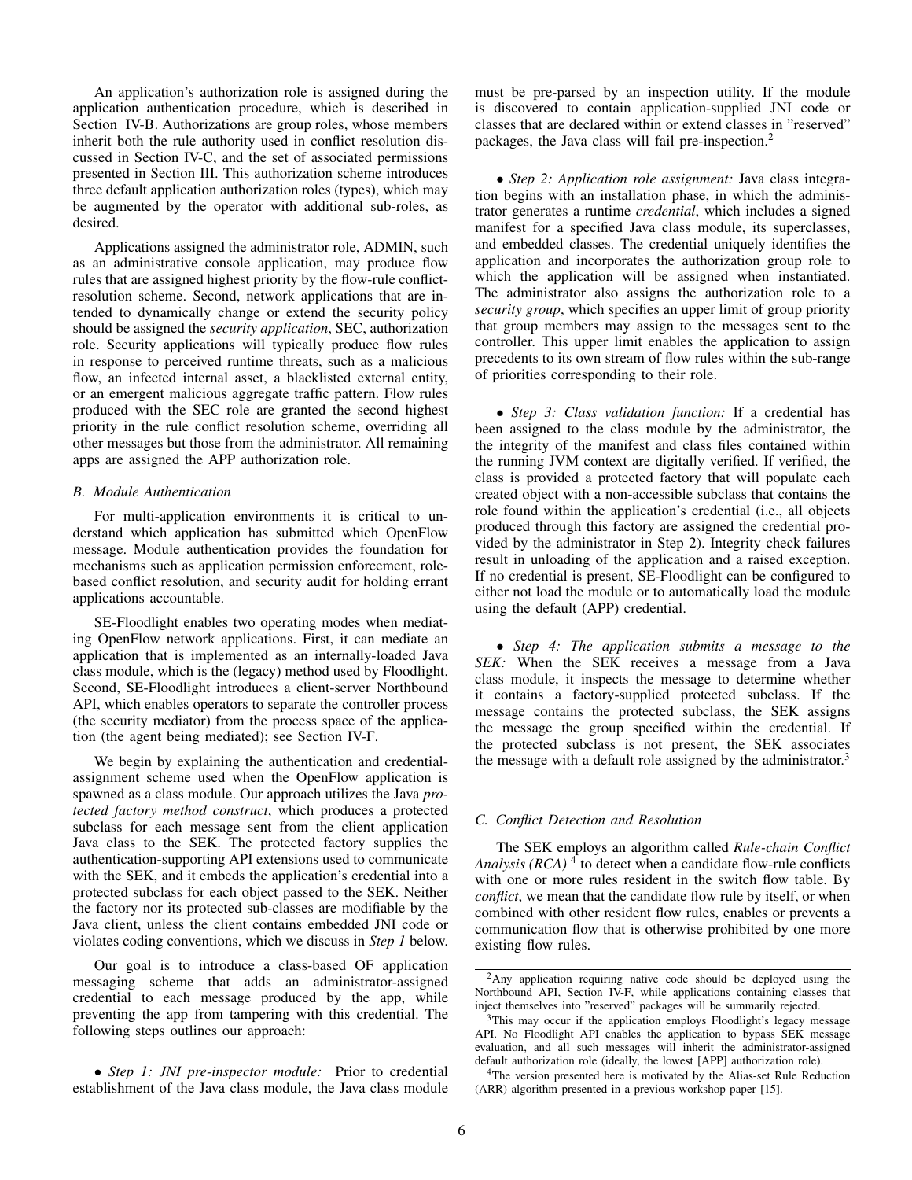An application's authorization role is assigned during the application authentication procedure, which is described in Section IV-B. Authorizations are group roles, whose members inherit both the rule authority used in conflict resolution discussed in Section IV-C, and the set of associated permissions presented in Section III. This authorization scheme introduces three default application authorization roles (types), which may be augmented by the operator with additional sub-roles, as desired.

Applications assigned the administrator role, ADMIN, such as an administrative console application, may produce flow rules that are assigned highest priority by the flow-rule conflictresolution scheme. Second, network applications that are intended to dynamically change or extend the security policy should be assigned the *security application*, SEC, authorization role. Security applications will typically produce flow rules in response to perceived runtime threats, such as a malicious flow, an infected internal asset, a blacklisted external entity, or an emergent malicious aggregate traffic pattern. Flow rules produced with the SEC role are granted the second highest priority in the rule conflict resolution scheme, overriding all other messages but those from the administrator. All remaining apps are assigned the APP authorization role.

# *B. Module Authentication*

For multi-application environments it is critical to understand which application has submitted which OpenFlow message. Module authentication provides the foundation for mechanisms such as application permission enforcement, rolebased conflict resolution, and security audit for holding errant applications accountable.

SE-Floodlight enables two operating modes when mediating OpenFlow network applications. First, it can mediate an application that is implemented as an internally-loaded Java class module, which is the (legacy) method used by Floodlight. Second, SE-Floodlight introduces a client-server Northbound API, which enables operators to separate the controller process (the security mediator) from the process space of the application (the agent being mediated); see Section IV-F.

We begin by explaining the authentication and credentialassignment scheme used when the OpenFlow application is spawned as a class module. Our approach utilizes the Java *protected factory method construct*, which produces a protected subclass for each message sent from the client application Java class to the SEK. The protected factory supplies the authentication-supporting API extensions used to communicate with the SEK, and it embeds the application's credential into a protected subclass for each object passed to the SEK. Neither the factory nor its protected sub-classes are modifiable by the Java client, unless the client contains embedded JNI code or violates coding conventions, which we discuss in *Step 1* below.

Our goal is to introduce a class-based OF application messaging scheme that adds an administrator-assigned credential to each message produced by the app, while preventing the app from tampering with this credential. The following steps outlines our approach:

• *Step 1: JNI pre-inspector module:* Prior to credential establishment of the Java class module, the Java class module must be pre-parsed by an inspection utility. If the module is discovered to contain application-supplied JNI code or classes that are declared within or extend classes in "reserved" packages, the Java class will fail pre-inspection.<sup>2</sup>

• *Step 2: Application role assignment:* Java class integration begins with an installation phase, in which the administrator generates a runtime *credential*, which includes a signed manifest for a specified Java class module, its superclasses, and embedded classes. The credential uniquely identifies the application and incorporates the authorization group role to which the application will be assigned when instantiated. The administrator also assigns the authorization role to a *security group*, which specifies an upper limit of group priority that group members may assign to the messages sent to the controller. This upper limit enables the application to assign precedents to its own stream of flow rules within the sub-range of priorities corresponding to their role.

• *Step 3: Class validation function:* If a credential has been assigned to the class module by the administrator, the the integrity of the manifest and class files contained within the running JVM context are digitally verified. If verified, the class is provided a protected factory that will populate each created object with a non-accessible subclass that contains the role found within the application's credential (i.e., all objects produced through this factory are assigned the credential provided by the administrator in Step 2). Integrity check failures result in unloading of the application and a raised exception. If no credential is present, SE-Floodlight can be configured to either not load the module or to automatically load the module using the default (APP) credential.

• *Step 4: The application submits a message to the SEK:* When the SEK receives a message from a Java class module, it inspects the message to determine whether it contains a factory-supplied protected subclass. If the message contains the protected subclass, the SEK assigns the message the group specified within the credential. If the protected subclass is not present, the SEK associates the message with a default role assigned by the administrator.<sup>3</sup>

# *C. Conflict Detection and Resolution*

The SEK employs an algorithm called *Rule-chain Conflict Analysis (RCA)*  $\frac{4}{1}$  to detect when a candidate flow-rule conflicts with one or more rules resident in the switch flow table. By *conflict*, we mean that the candidate flow rule by itself, or when combined with other resident flow rules, enables or prevents a communication flow that is otherwise prohibited by one more existing flow rules.

<sup>2</sup>Any application requiring native code should be deployed using the Northbound API, Section IV-F, while applications containing classes that inject themselves into "reserved" packages will be summarily rejected.

<sup>&</sup>lt;sup>3</sup>This may occur if the application employs Floodlight's legacy message API. No Floodlight API enables the application to bypass SEK message evaluation, and all such messages will inherit the administrator-assigned default authorization role (ideally, the lowest [APP] authorization role).

<sup>&</sup>lt;sup>4</sup>The version presented here is motivated by the Alias-set Rule Reduction (ARR) algorithm presented in a previous workshop paper [15].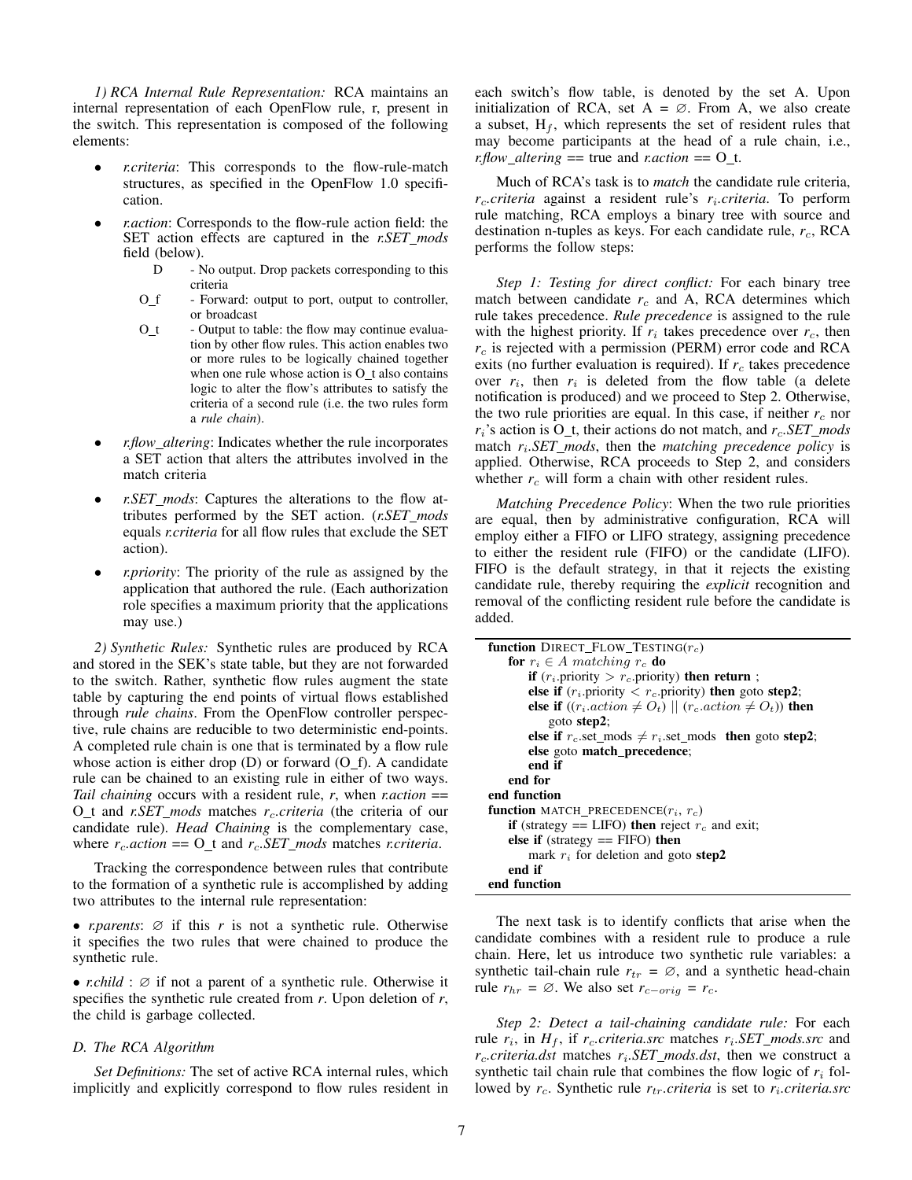*1) RCA Internal Rule Representation:* RCA maintains an internal representation of each OpenFlow rule, r, present in the switch. This representation is composed of the following elements:

- *r.criteria*: This corresponds to the flow-rule-match structures, as specified in the OpenFlow 1.0 specification.
- *r.action*: Corresponds to the flow-rule action field: the SET action effects are captured in the *r.SET mods* field (below).
	- D No output. Drop packets corresponding to this criteria
	- O\_f Forward: output to port, output to controller, or broadcast
	- $O_t$  Output to table: the flow may continue evaluation by other flow rules. This action enables two or more rules to be logically chained together when one rule whose action is O t also contains logic to alter the flow's attributes to satisfy the criteria of a second rule (i.e. the two rules form a *rule chain*).
- *r.flow altering*: Indicates whether the rule incorporates a SET action that alters the attributes involved in the match criteria
- *r.SET mods*: Captures the alterations to the flow attributes performed by the SET action. (*r.SET mods* equals *r.criteria* for all flow rules that exclude the SET action).
- *r.priority*: The priority of the rule as assigned by the application that authored the rule. (Each authorization role specifies a maximum priority that the applications may use.)

*2) Synthetic Rules:* Synthetic rules are produced by RCA and stored in the SEK's state table, but they are not forwarded to the switch. Rather, synthetic flow rules augment the state table by capturing the end points of virtual flows established through *rule chains*. From the OpenFlow controller perspective, rule chains are reducible to two deterministic end-points. A completed rule chain is one that is terminated by a flow rule whose action is either drop  $(D)$  or forward  $(O_f)$ . A candidate rule can be chained to an existing rule in either of two ways. *Tail chaining* occurs with a resident rule, *r*, when *r.action* == O\_t and *r.SET\_mods* matches *r<sub>c</sub>.criteria* (the criteria of our candidate rule). *Head Chaining* is the complementary case, where  $r_c$  *action* ==  $O_t$  and  $r_c$ *SET\_mods* matches *r.criteria*.

Tracking the correspondence between rules that contribute to the formation of a synthetic rule is accomplished by adding two attributes to the internal rule representation:

• *r.parents*: ∅ if this *r* is not a synthetic rule. Otherwise it specifies the two rules that were chained to produce the synthetic rule.

• *r.child* : ∅ if not a parent of a synthetic rule. Otherwise it specifies the synthetic rule created from *r*. Upon deletion of *r*, the child is garbage collected.

# *D. The RCA Algorithm*

*Set Definitions:* The set of active RCA internal rules, which implicitly and explicitly correspond to flow rules resident in each switch's flow table, is denoted by the set A. Upon initialization of RCA, set  $A = \emptyset$ . From A, we also create a subset,  $H_f$ , which represents the set of resident rules that may become participants at the head of a rule chain, i.e., *r.flow altering*  $==$  true and *r.action*  $==$  O t.

Much of RCA's task is to *match* the candidate rule criteria,  $r_c$ *criteria* against a resident rule's  $r_i$ *criteria*. To perform rule matching, RCA employs a binary tree with source and destination n-tuples as keys. For each candidate rule,  $r_c$ , RCA performs the follow steps:

*Step 1: Testing for direct conflict:* For each binary tree match between candidate  $r_c$  and A, RCA determines which rule takes precedence. *Rule precedence* is assigned to the rule with the highest priority. If  $r_i$  takes precedence over  $r_c$ , then *r*<sup>c</sup> is rejected with a permission (PERM) error code and RCA exits (no further evaluation is required). If  $r_c$  takes precedence over  $r_i$ , then  $r_i$  is deleted from the flow table (a delete notification is produced) and we proceed to Step 2. Otherwise, the two rule priorities are equal. In this case, if neither  $r_c$  nor  $r_i$ 's action is O\_t, their actions do not match, and  $r_c$ *SET\_mods* match *r*<sup>i</sup> *.SET mods*, then the *matching precedence policy* is applied. Otherwise, RCA proceeds to Step 2, and considers whether  $r_c$  will form a chain with other resident rules.

*Matching Precedence Policy*: When the two rule priorities are equal, then by administrative configuration, RCA will employ either a FIFO or LIFO strategy, assigning precedence to either the resident rule (FIFO) or the candidate (LIFO). FIFO is the default strategy, in that it rejects the existing candidate rule, thereby requiring the *explicit* recognition and removal of the conflicting resident rule before the candidate is added.

| <b>function</b> DIRECT FLOW TESTING $(r_c)$                      |  |  |  |
|------------------------------------------------------------------|--|--|--|
| for $r_i \in A$ matching $r_c$ do                                |  |  |  |
| <b>if</b> $(r_i)$ priority $>r_c$ priority) <b>then return</b> ; |  |  |  |
| else if $(r_i)$ priority $\langle r_c$ priority then goto step2; |  |  |  |
| else if $((r_i.action \neq O_t)    (r_c.action \neq O_t))$ then  |  |  |  |
| goto step2;                                                      |  |  |  |
| else if $r_c$ set mods $\neq r_i$ set mods then goto step2;      |  |  |  |
| else goto match precedence;                                      |  |  |  |
| end if                                                           |  |  |  |
| end for                                                          |  |  |  |
| end function                                                     |  |  |  |
| function MATCH PRECEDENCE $(r_i, r_c)$                           |  |  |  |
| <b>if</b> (strategy == LIFO) <b>then</b> reject $r_c$ and exit;  |  |  |  |
| else if $(\text{strategy} == \text{FIFO})$ then                  |  |  |  |
| mark $r_i$ for deletion and goto step2                           |  |  |  |
| end if                                                           |  |  |  |
| end function                                                     |  |  |  |

The next task is to identify conflicts that arise when the candidate combines with a resident rule to produce a rule chain. Here, let us introduce two synthetic rule variables: a synthetic tail-chain rule  $r_{tr} = \emptyset$ , and a synthetic head-chain rule  $r_{hr} = \emptyset$ . We also set  $r_{c-orig} = r_c$ .

*Step 2: Detect a tail-chaining candidate rule:* For each rule  $r_i$ , in  $H_f$ , if  $r_c$ *.criteria.src* matches  $r_i$ *.SET\_mods.src* and *r<sub>c</sub>*.*criteria.dst* matches *r<sub>i</sub>*.*SET\_mods.dst*, then we construct a synthetic tail chain rule that combines the flow logic of  $r_i$  followed by  $r_c$ . Synthetic rule  $r_{tr}$ .*criteria* is set to  $r_i$ .*criteria.src*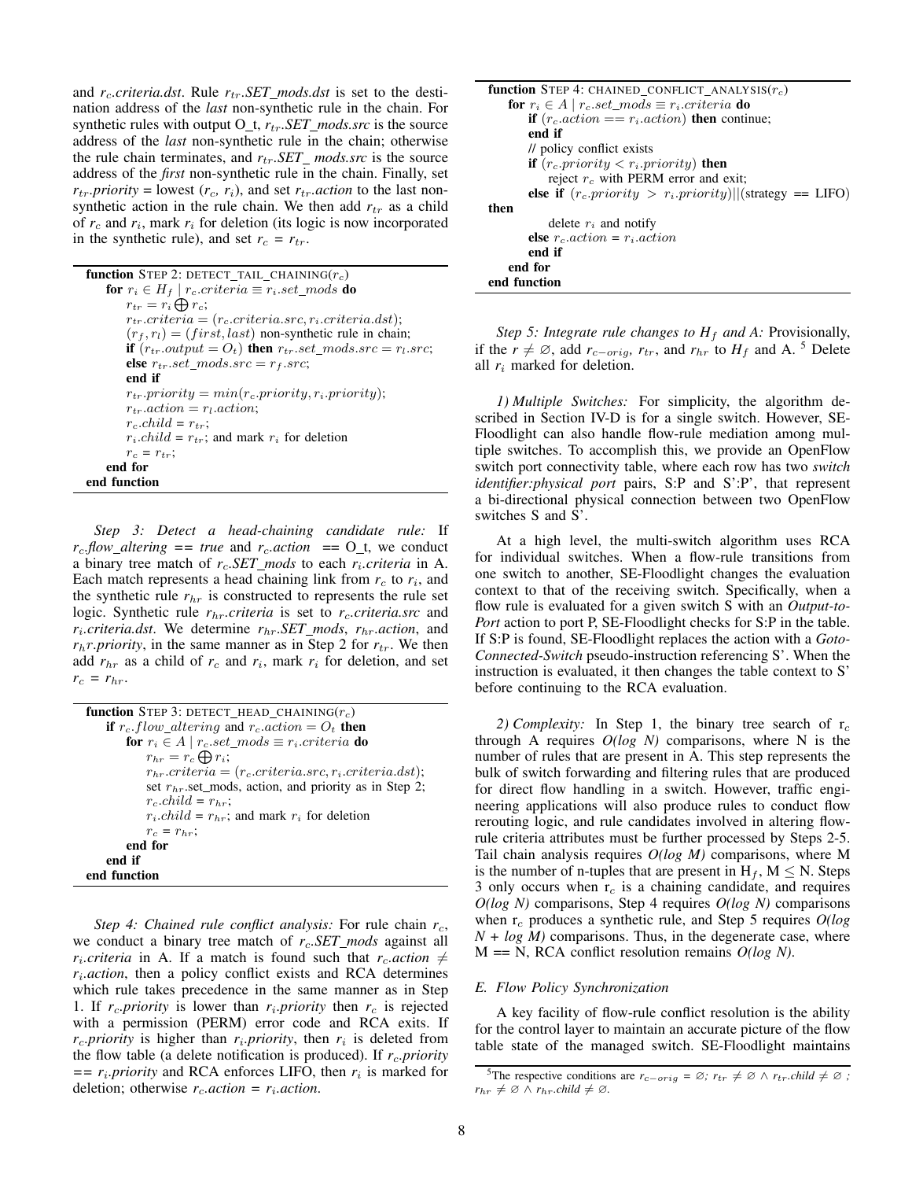and  $r_c$ *criteria.dst.* Rule  $r_{tr}$ *SET\_mods.dst* is set to the destination address of the *last* non-synthetic rule in the chain. For synthetic rules with output  $O_t$ ,  $r_{tr}$ , *SET mods.src* is the source address of the *last* non-synthetic rule in the chain; otherwise the rule chain terminates, and  $r_{tr}$ . *SET mods.src* is the source address of the *first* non-synthetic rule in the chain. Finally, set  $r_{tr}$ *priority* = lowest  $(r_c, r_i)$ , and set  $r_{tr}$ *action* to the last nonsynthetic action in the rule chain. We then add  $r_{tr}$  as a child of  $r_c$  and  $r_i$ , mark  $r_i$  for deletion (its logic is now incorporated in the synthetic rule), and set  $r_c = r_{tr}$ .

function STEP 2: DETECT\_TAIL\_CHAINING $(r_c)$ for  $r_i \in H_f \mid r_c.criteria \equiv r_i.set\_mods$  do  $r_{tr} = r_i \bigoplus r_c;$  $r_{tr}.criteria = (r_c.criteria.src, r_i.criteria.dst);$  $(r_f, r_l) = (first, last)$  non-synthetic rule in chain; if  $(r_{tr}.output = O_t)$  then  $r_{tr}.set\_mods.src = r_l.src;$ else  $r_{tr}.set\_modes.src = r_f.src;$ end if  $r_{tr}.priority = min(r_c.priority, r_i.priority);$  $r_{tr}.action = r_l.action;$  $r_c.child = r_{tr};$  $r_i$ .*child* =  $r_{tr}$ ; and mark  $r_i$  for deletion  $r_c = r_{tr}$ ; end for end function

*Step 3: Detect a head-chaining candidate rule:* If  $r_c$ *flow\_altering* == *true* and  $r_c$ *action* == O\_t, we conduct a binary tree match of *r<sub>c</sub>*.SET\_mods to each *r<sub>i</sub>*.criteria in A. Each match represents a head chaining link from  $r_c$  to  $r_i$ , and the synthetic rule  $r_{hr}$  is constructed to represents the rule set logic. Synthetic rule  $r<sub>hr</sub>$ *criteria* is set to  $r<sub>c</sub>$ *criteria.src* and *r*i *.criteria.dst*. We determine *r*hr*.SET mods*, *r*hr*.action*, and  $r<sub>h</sub>r$ *priority*, in the same manner as in Step 2 for  $r<sub>tr</sub>$ . We then add  $r_{hr}$  as a child of  $r_c$  and  $r_i$ , mark  $r_i$  for deletion, and set  $r_c = r_{hr}$ .

| <b>function</b> STEP 3: DETECT HEAD CHAINING $(r_c)$                             |
|----------------------------------------------------------------------------------|
| <b>if</b> $r_c$ flow altering and $r_c$ action = $O_t$ then                      |
| <b>for</b> $r_i \in A \mid r_c.set \text{ mod } s \equiv r_i.criteria$ <b>do</b> |
| $r_{hr} = r_c \bigoplus r_i;$                                                    |
| $r_{hr}.$ criteria = $(r_c.criteria.src,r_i.criteria.dst);$                      |
| set $r_{hr}$ set_mods, action, and priority as in Step 2;                        |
| $r_c.child = r_{hr}$                                                             |
| $r_i$ . <i>child</i> = $r_{hr}$ ; and mark $r_i$ for deletion                    |
| $r_c = r_{hr}$                                                                   |
| end for                                                                          |
| end if                                                                           |
| end function                                                                     |

*Step 4: Chained rule conflict analysis:* For rule chain  $r_c$ , we conduct a binary tree match of  $r_c$ *SET\_mods* against all *r*<sub>i</sub>.*criteria* in A. If a match is found such that *r*<sub>c</sub>.*action*  $\neq$ *r*i *.action*, then a policy conflict exists and RCA determines which rule takes precedence in the same manner as in Step 1. If  $r_c$ -priority is lower than  $r_i$ -priority then  $r_c$  is rejected with a permission (PERM) error code and RCA exits. If  $r_c$ *priority* is higher than  $r_i$ *priority*, then  $r_i$  is deleted from the flow table (a delete notification is produced). If *r<sub>c</sub>*.*priority*  $= r_i$  *priority* and RCA enforces LIFO, then  $r_i$  is marked for deletion; otherwise  $r_c$  *action* =  $r_i$  *action*.

```
function STEP 4: CHAINED_CONFLICT_ANALYSIS(r_c)for r_i \in A \mid r_c.set\_modes \equiv r_i.criteria do
       if (r_c.action == r_i.action) then continue;
       end if
       // policy conflict exists
       if (r_c.priority < r_i.priority) then
           reject r_c with PERM error and exit;
       else if (r_c.priority > r_i.priority)||(strategy == LIFO)
then
           delete r_i and notify
       else r_c action = r_i action
       end if
   end for
end function
```
*Step 5: Integrate rule changes to*  $H_f$  *and A: Provisionally,* if the *r*  $\neq$  ∅, add *r<sub>c−orig</sub>*, *r*<sub>tr</sub>, and *r*<sub>hr</sub> to *H*<sub>f</sub> and A. <sup>5</sup> Delete all *r*<sup>i</sup> marked for deletion.

*1) Multiple Switches:* For simplicity, the algorithm described in Section IV-D is for a single switch. However, SE-Floodlight can also handle flow-rule mediation among multiple switches. To accomplish this, we provide an OpenFlow switch port connectivity table, where each row has two *switch identifier:physical port* pairs, S:P and S':P', that represent a bi-directional physical connection between two OpenFlow switches S and S'.

At a high level, the multi-switch algorithm uses RCA for individual switches. When a flow-rule transitions from one switch to another, SE-Floodlight changes the evaluation context to that of the receiving switch. Specifically, when a flow rule is evaluated for a given switch S with an *Output-to-Port* action to port P, SE-Floodlight checks for S:P in the table. If S:P is found, SE-Floodlight replaces the action with a *Goto-Connected-Switch* pseudo-instruction referencing S'. When the instruction is evaluated, it then changes the table context to S' before continuing to the RCA evaluation.

2) Complexity: In Step 1, the binary tree search of  $r_c$ through A requires  $O(log N)$  comparisons, where N is the number of rules that are present in A. This step represents the bulk of switch forwarding and filtering rules that are produced for direct flow handling in a switch. However, traffic engineering applications will also produce rules to conduct flow rerouting logic, and rule candidates involved in altering flowrule criteria attributes must be further processed by Steps 2-5. Tail chain analysis requires *O(log M)* comparisons, where M is the number of n-tuples that are present in  $H_f$ ,  $M \le N$ . Steps 3 only occurs when  $r_c$  is a chaining candidate, and requires *O(log N)* comparisons, Step 4 requires *O(log N)* comparisons when  $r_c$  produces a synthetic rule, and Step 5 requires  $O(log$  $N + log M$ ) comparisons. Thus, in the degenerate case, where M == N, RCA conflict resolution remains *O(log N)*.

# *E. Flow Policy Synchronization*

A key facility of flow-rule conflict resolution is the ability for the control layer to maintain an accurate picture of the flow table state of the managed switch. SE-Floodlight maintains

<sup>&</sup>lt;sup>5</sup>The respective conditions are  $r_{c-orig} = \emptyset$ ;  $r_{tr} \neq \emptyset \land r_{tr}.child \neq \emptyset$ ;  $r_{hr} \neq \emptyset \land r_{hr}.child \neq \emptyset$ .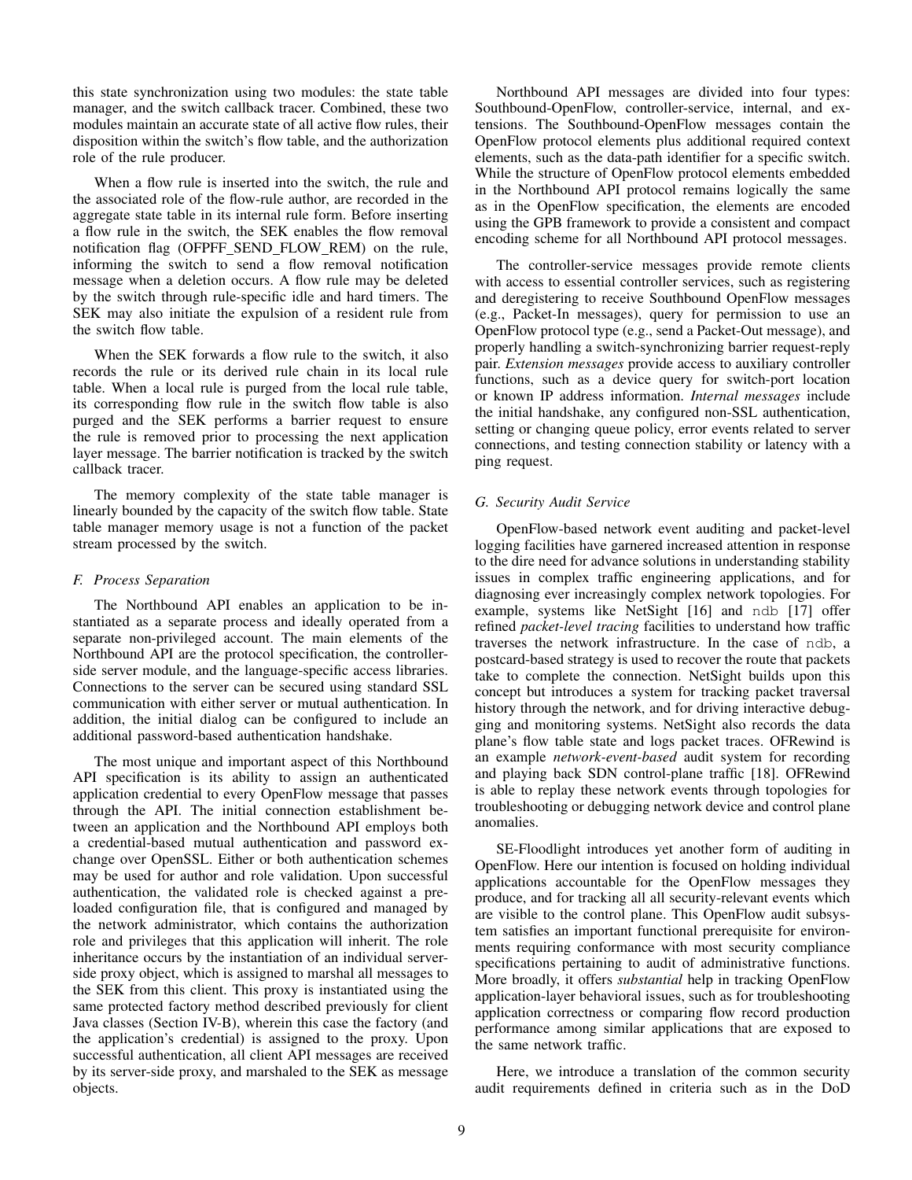this state synchronization using two modules: the state table manager, and the switch callback tracer. Combined, these two modules maintain an accurate state of all active flow rules, their disposition within the switch's flow table, and the authorization role of the rule producer.

When a flow rule is inserted into the switch, the rule and the associated role of the flow-rule author, are recorded in the aggregate state table in its internal rule form. Before inserting a flow rule in the switch, the SEK enables the flow removal notification flag (OFPFF SEND FLOW REM) on the rule, informing the switch to send a flow removal notification message when a deletion occurs. A flow rule may be deleted by the switch through rule-specific idle and hard timers. The SEK may also initiate the expulsion of a resident rule from the switch flow table.

When the SEK forwards a flow rule to the switch, it also records the rule or its derived rule chain in its local rule table. When a local rule is purged from the local rule table, its corresponding flow rule in the switch flow table is also purged and the SEK performs a barrier request to ensure the rule is removed prior to processing the next application layer message. The barrier notification is tracked by the switch callback tracer.

The memory complexity of the state table manager is linearly bounded by the capacity of the switch flow table. State table manager memory usage is not a function of the packet stream processed by the switch.

# *F. Process Separation*

The Northbound API enables an application to be instantiated as a separate process and ideally operated from a separate non-privileged account. The main elements of the Northbound API are the protocol specification, the controllerside server module, and the language-specific access libraries. Connections to the server can be secured using standard SSL communication with either server or mutual authentication. In addition, the initial dialog can be configured to include an additional password-based authentication handshake.

The most unique and important aspect of this Northbound API specification is its ability to assign an authenticated application credential to every OpenFlow message that passes through the API. The initial connection establishment between an application and the Northbound API employs both a credential-based mutual authentication and password exchange over OpenSSL. Either or both authentication schemes may be used for author and role validation. Upon successful authentication, the validated role is checked against a preloaded configuration file, that is configured and managed by the network administrator, which contains the authorization role and privileges that this application will inherit. The role inheritance occurs by the instantiation of an individual serverside proxy object, which is assigned to marshal all messages to the SEK from this client. This proxy is instantiated using the same protected factory method described previously for client Java classes (Section IV-B), wherein this case the factory (and the application's credential) is assigned to the proxy. Upon successful authentication, all client API messages are received by its server-side proxy, and marshaled to the SEK as message objects.

Northbound API messages are divided into four types: Southbound-OpenFlow, controller-service, internal, and extensions. The Southbound-OpenFlow messages contain the OpenFlow protocol elements plus additional required context elements, such as the data-path identifier for a specific switch. While the structure of OpenFlow protocol elements embedded in the Northbound API protocol remains logically the same as in the OpenFlow specification, the elements are encoded using the GPB framework to provide a consistent and compact encoding scheme for all Northbound API protocol messages.

The controller-service messages provide remote clients with access to essential controller services, such as registering and deregistering to receive Southbound OpenFlow messages (e.g., Packet-In messages), query for permission to use an OpenFlow protocol type (e.g., send a Packet-Out message), and properly handling a switch-synchronizing barrier request-reply pair. *Extension messages* provide access to auxiliary controller functions, such as a device query for switch-port location or known IP address information. *Internal messages* include the initial handshake, any configured non-SSL authentication, setting or changing queue policy, error events related to server connections, and testing connection stability or latency with a ping request.

# *G. Security Audit Service*

OpenFlow-based network event auditing and packet-level logging facilities have garnered increased attention in response to the dire need for advance solutions in understanding stability issues in complex traffic engineering applications, and for diagnosing ever increasingly complex network topologies. For example, systems like NetSight [16] and ndb [17] offer refined *packet-level tracing* facilities to understand how traffic traverses the network infrastructure. In the case of ndb, a postcard-based strategy is used to recover the route that packets take to complete the connection. NetSight builds upon this concept but introduces a system for tracking packet traversal history through the network, and for driving interactive debugging and monitoring systems. NetSight also records the data plane's flow table state and logs packet traces. OFRewind is an example *network-event-based* audit system for recording and playing back SDN control-plane traffic [18]. OFRewind is able to replay these network events through topologies for troubleshooting or debugging network device and control plane anomalies.

SE-Floodlight introduces yet another form of auditing in OpenFlow. Here our intention is focused on holding individual applications accountable for the OpenFlow messages they produce, and for tracking all all security-relevant events which are visible to the control plane. This OpenFlow audit subsystem satisfies an important functional prerequisite for environments requiring conformance with most security compliance specifications pertaining to audit of administrative functions. More broadly, it offers *substantial* help in tracking OpenFlow application-layer behavioral issues, such as for troubleshooting application correctness or comparing flow record production performance among similar applications that are exposed to the same network traffic.

Here, we introduce a translation of the common security audit requirements defined in criteria such as in the DoD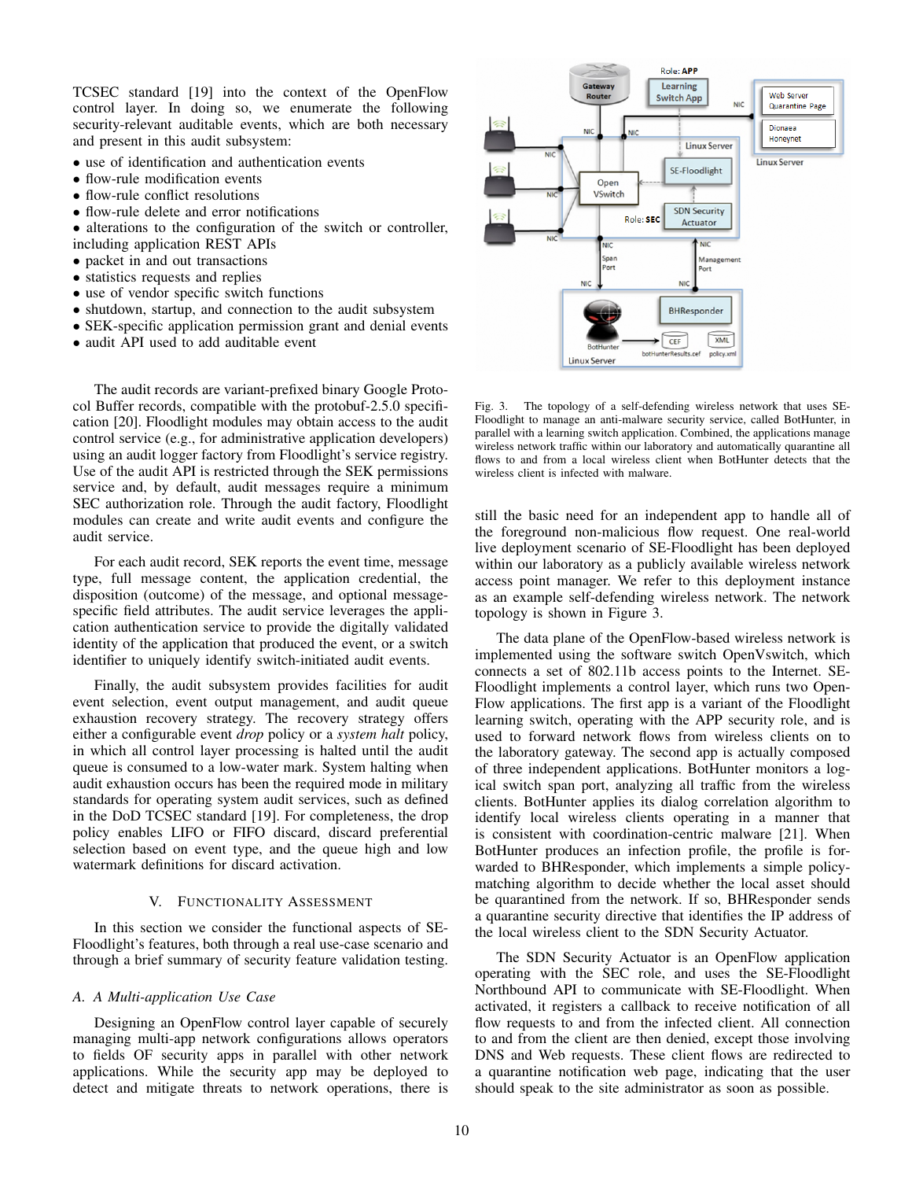TCSEC standard [19] into the context of the OpenFlow control layer. In doing so, we enumerate the following security-relevant auditable events, which are both necessary and present in this audit subsystem:

- use of identification and authentication events
- flow-rule modification events
- flow-rule conflict resolutions
- flow-rule delete and error notifications
- alterations to the configuration of the switch or controller, including application REST APIs
- packet in and out transactions
- statistics requests and replies
- use of vendor specific switch functions
- shutdown, startup, and connection to the audit subsystem
- SEK-specific application permission grant and denial events
- audit API used to add auditable event

The audit records are variant-prefixed binary Google Protocol Buffer records, compatible with the protobuf-2.5.0 specification [20]. Floodlight modules may obtain access to the audit control service (e.g., for administrative application developers) using an audit logger factory from Floodlight's service registry. Use of the audit API is restricted through the SEK permissions service and, by default, audit messages require a minimum SEC authorization role. Through the audit factory, Floodlight modules can create and write audit events and configure the audit service.

For each audit record, SEK reports the event time, message type, full message content, the application credential, the disposition (outcome) of the message, and optional messagespecific field attributes. The audit service leverages the application authentication service to provide the digitally validated identity of the application that produced the event, or a switch identifier to uniquely identify switch-initiated audit events.

Finally, the audit subsystem provides facilities for audit event selection, event output management, and audit queue exhaustion recovery strategy. The recovery strategy offers either a configurable event *drop* policy or a *system halt* policy, in which all control layer processing is halted until the audit queue is consumed to a low-water mark. System halting when audit exhaustion occurs has been the required mode in military standards for operating system audit services, such as defined in the DoD TCSEC standard [19]. For completeness, the drop policy enables LIFO or FIFO discard, discard preferential selection based on event type, and the queue high and low watermark definitions for discard activation.

# V. FUNCTIONALITY ASSESSMENT

In this section we consider the functional aspects of SE-Floodlight's features, both through a real use-case scenario and through a brief summary of security feature validation testing.

# *A. A Multi-application Use Case*

Designing an OpenFlow control layer capable of securely managing multi-app network configurations allows operators to fields OF security apps in parallel with other network applications. While the security app may be deployed to detect and mitigate threats to network operations, there is



Fig. 3. The topology of a self-defending wireless network that uses SE-Floodlight to manage an anti-malware security service, called BotHunter, in parallel with a learning switch application. Combined, the applications manage wireless network traffic within our laboratory and automatically quarantine all flows to and from a local wireless client when BotHunter detects that the wireless client is infected with malware.

still the basic need for an independent app to handle all of the foreground non-malicious flow request. One real-world live deployment scenario of SE-Floodlight has been deployed within our laboratory as a publicly available wireless network access point manager. We refer to this deployment instance as an example self-defending wireless network. The network topology is shown in Figure 3.

The data plane of the OpenFlow-based wireless network is implemented using the software switch OpenVswitch, which connects a set of 802.11b access points to the Internet. SE-Floodlight implements a control layer, which runs two Open-Flow applications. The first app is a variant of the Floodlight learning switch, operating with the APP security role, and is used to forward network flows from wireless clients on to the laboratory gateway. The second app is actually composed of three independent applications. BotHunter monitors a logical switch span port, analyzing all traffic from the wireless clients. BotHunter applies its dialog correlation algorithm to identify local wireless clients operating in a manner that is consistent with coordination-centric malware [21]. When BotHunter produces an infection profile, the profile is forwarded to BHResponder, which implements a simple policymatching algorithm to decide whether the local asset should be quarantined from the network. If so, BHResponder sends a quarantine security directive that identifies the IP address of the local wireless client to the SDN Security Actuator.

The SDN Security Actuator is an OpenFlow application operating with the SEC role, and uses the SE-Floodlight Northbound API to communicate with SE-Floodlight. When activated, it registers a callback to receive notification of all flow requests to and from the infected client. All connection to and from the client are then denied, except those involving DNS and Web requests. These client flows are redirected to a quarantine notification web page, indicating that the user should speak to the site administrator as soon as possible.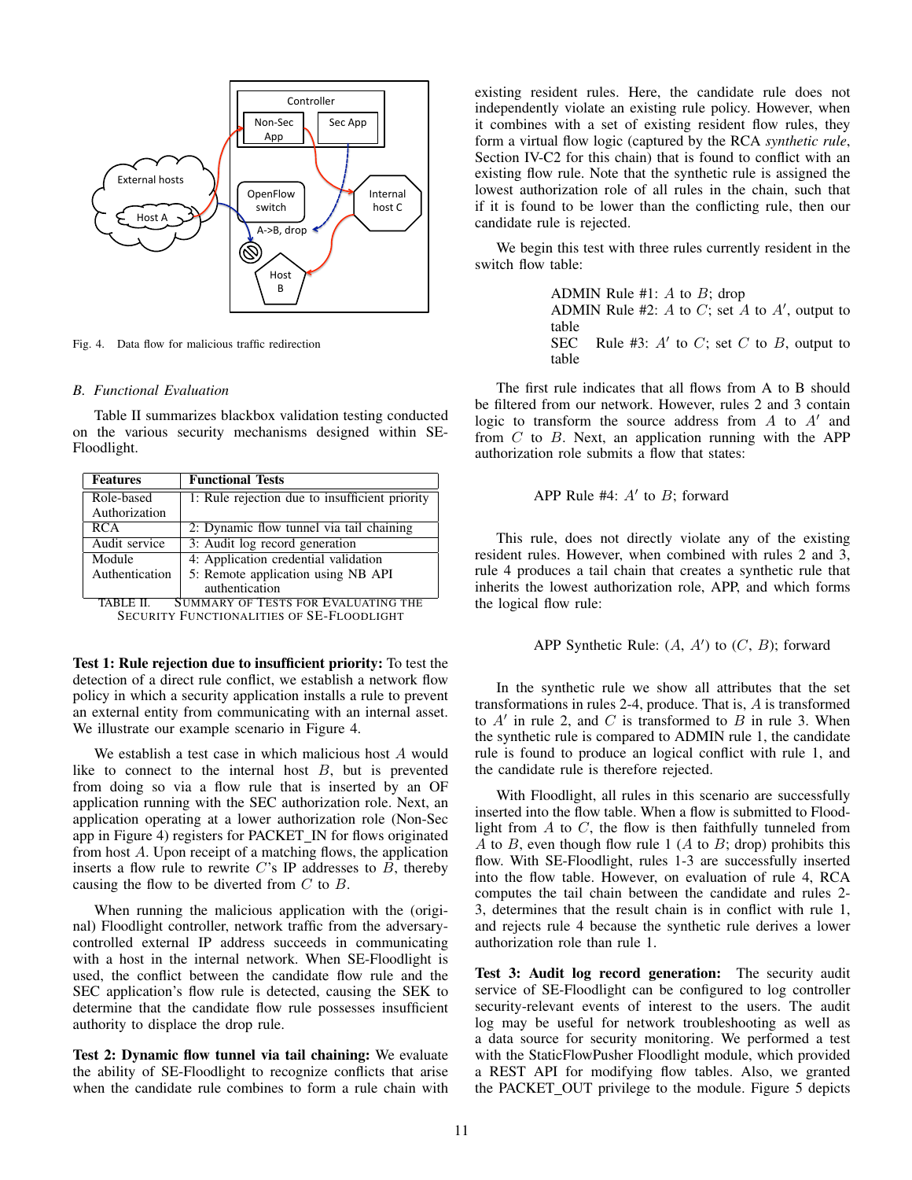

Fig. 4. Data flow for malicious traffic redirection

#### *B. Functional Evaluation*

Table II summarizes blackbox validation testing conducted on the various security mechanisms designed within SE-Floodlight.

| <b>Features</b> | <b>Functional Tests</b>                        |
|-----------------|------------------------------------------------|
| Role-based      | 1: Rule rejection due to insufficient priority |
| Authorization   |                                                |
| <b>RCA</b>      | 2: Dynamic flow tunnel via tail chaining       |
| Audit service   | 3: Audit log record generation                 |
| Module          | 4: Application credential validation           |
| Authentication  | 5: Remote application using NB API             |
|                 | authentication                                 |
| <b>TADIE</b>    | CHMMARY OF TESTS FOR EVALUATING THE            |

TABLE II. SUMMARY OF TESTS FOR EVALUATING THE SECURITY FUNCTIONALITIES OF SE-FLOODLIGHT

Test 1: Rule rejection due to insufficient priority: To test the detection of a direct rule conflict, we establish a network flow policy in which a security application installs a rule to prevent an external entity from communicating with an internal asset. We illustrate our example scenario in Figure 4.

We establish a test case in which malicious host A would like to connect to the internal host  $B$ , but is prevented from doing so via a flow rule that is inserted by an OF application running with the SEC authorization role. Next, an application operating at a lower authorization role (Non-Sec app in Figure 4) registers for PACKET\_IN for flows originated from host A. Upon receipt of a matching flows, the application inserts a flow rule to rewrite  $C$ 's IP addresses to  $B$ , thereby causing the flow to be diverted from  $C$  to  $B$ .

When running the malicious application with the (original) Floodlight controller, network traffic from the adversarycontrolled external IP address succeeds in communicating with a host in the internal network. When SE-Floodlight is used, the conflict between the candidate flow rule and the SEC application's flow rule is detected, causing the SEK to determine that the candidate flow rule possesses insufficient authority to displace the drop rule.

Test 2: Dynamic flow tunnel via tail chaining: We evaluate the ability of SE-Floodlight to recognize conflicts that arise when the candidate rule combines to form a rule chain with existing resident rules. Here, the candidate rule does not independently violate an existing rule policy. However, when it combines with a set of existing resident flow rules, they form a virtual flow logic (captured by the RCA *synthetic rule*, Section IV-C2 for this chain) that is found to conflict with an existing flow rule. Note that the synthetic rule is assigned the lowest authorization role of all rules in the chain, such that if it is found to be lower than the conflicting rule, then our candidate rule is rejected.

We begin this test with three rules currently resident in the switch flow table:

> ADMIN Rule #1:  $A$  to  $B$ ; drop ADMIN Rule #2:  $A$  to  $C$ ; set  $A$  to  $A'$ , output to table SEC Rule #3:  $A'$  to  $C$ ; set  $C$  to  $B$ , output to table

The first rule indicates that all flows from A to B should be filtered from our network. However, rules 2 and 3 contain logic to transform the source address from  $A$  to  $A'$  and from  $C$  to  $B$ . Next, an application running with the APP authorization role submits a flow that states:

APP Rule #4: 
$$
A'
$$
 to  $B$ ; forward

This rule, does not directly violate any of the existing resident rules. However, when combined with rules 2 and 3, rule 4 produces a tail chain that creates a synthetic rule that inherits the lowest authorization role, APP, and which forms the logical flow rule:

APP Synthetic Rule:  $(A, A')$  to  $(C, B)$ ; forward

In the synthetic rule we show all attributes that the set transformations in rules 2-4, produce. That is, A is transformed to  $A'$  in rule 2, and  $C$  is transformed to  $B$  in rule 3. When the synthetic rule is compared to ADMIN rule 1, the candidate rule is found to produce an logical conflict with rule 1, and the candidate rule is therefore rejected.

With Floodlight, all rules in this scenario are successfully inserted into the flow table. When a flow is submitted to Floodlight from  $A$  to  $C$ , the flow is then faithfully tunneled from A to B, even though flow rule 1 (A to B; drop) prohibits this flow. With SE-Floodlight, rules 1-3 are successfully inserted into the flow table. However, on evaluation of rule 4, RCA computes the tail chain between the candidate and rules 2- 3, determines that the result chain is in conflict with rule 1, and rejects rule 4 because the synthetic rule derives a lower authorization role than rule 1.

Test 3: Audit log record generation: The security audit service of SE-Floodlight can be configured to log controller security-relevant events of interest to the users. The audit log may be useful for network troubleshooting as well as a data source for security monitoring. We performed a test with the StaticFlowPusher Floodlight module, which provided a REST API for modifying flow tables. Also, we granted the PACKET OUT privilege to the module. Figure 5 depicts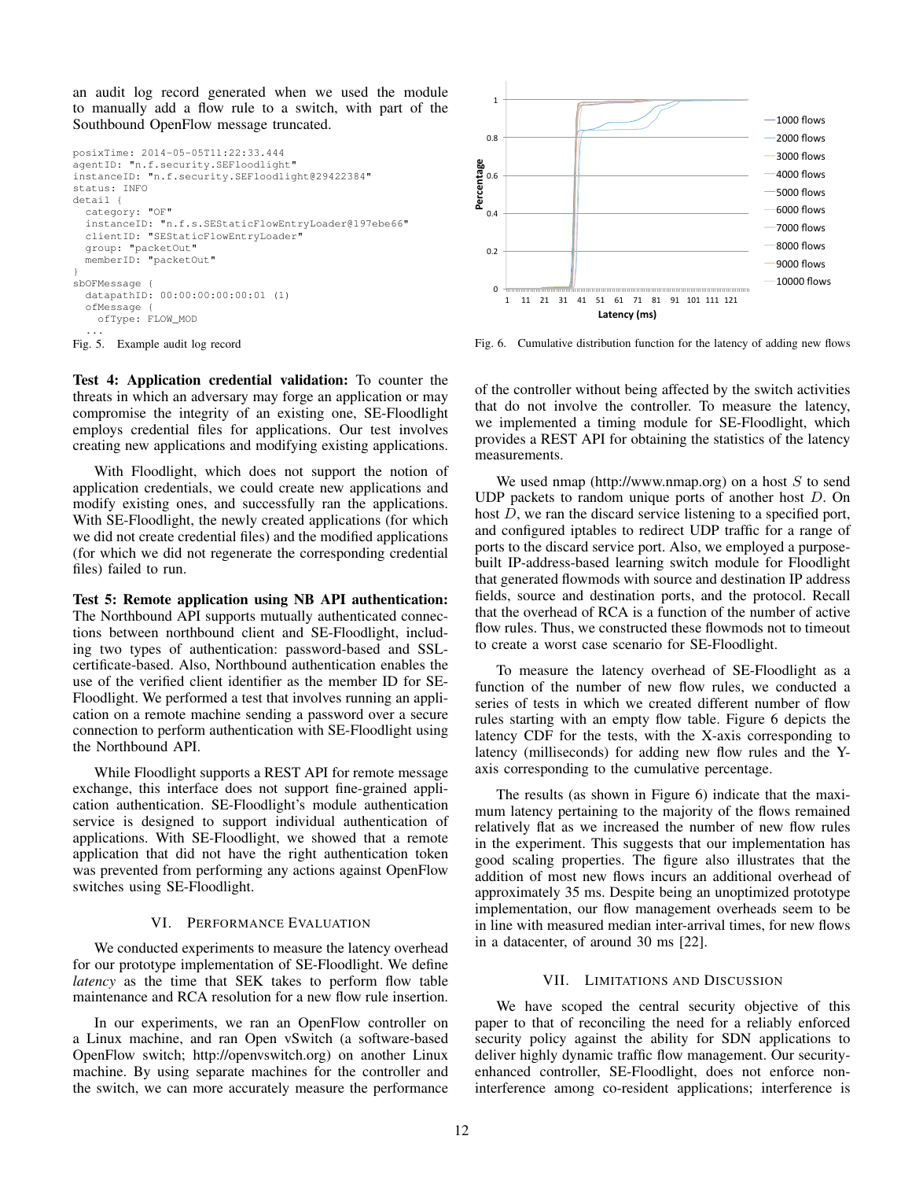an audit log record generated when we used the module to manually add a flow rule to a switch, with part of the Southbound OpenFlow message truncated.

```
posixTime: 2014-05-05T11:22:33.444
.<br>agentID: "n.f.security.SEFloodlight"
instanceID: "n.f.security.SEFloodlight@29422384"
status: INFO
detail {
  category: "OF"
  instanceID: "n.f.s.SEStaticFlowEntryLoader@197ebe66"
  clientID: "SEStaticFlowEntryLoader"
 group: "packetOut"
  memberID: "packetOut"
}
sbOFMessage {
  datapathID: 00:00:00:00:00:01 (1)
  ofMessage {
   ofType: FLOW_MOD
  ...
```
Fig. 5. Example audit log record

Test 4: Application credential validation: To counter the threats in which an adversary may forge an application or may compromise the integrity of an existing one, SE-Floodlight employs credential files for applications. Our test involves creating new applications and modifying existing applications.

With Floodlight, which does not support the notion of application credentials, we could create new applications and modify existing ones, and successfully ran the applications. With SE-Floodlight, the newly created applications (for which we did not create credential files) and the modified applications (for which we did not regenerate the corresponding credential files) failed to run.

Test 5: Remote application using NB API authentication: The Northbound API supports mutually authenticated connections between northbound client and SE-Floodlight, including two types of authentication: password-based and SSLcertificate-based. Also, Northbound authentication enables the use of the verified client identifier as the member ID for SE-Floodlight. We performed a test that involves running an application on a remote machine sending a password over a secure connection to perform authentication with SE-Floodlight using the Northbound API.

While Floodlight supports a REST API for remote message exchange, this interface does not support fine-grained application authentication. SE-Floodlight's module authentication service is designed to support individual authentication of applications. With SE-Floodlight, we showed that a remote application that did not have the right authentication token was prevented from performing any actions against OpenFlow switches using SE-Floodlight.

# VI. PERFORMANCE EVALUATION

We conducted experiments to measure the latency overhead for our prototype implementation of SE-Floodlight. We define *latency* as the time that SEK takes to perform flow table maintenance and RCA resolution for a new flow rule insertion.

In our experiments, we ran an OpenFlow controller on a Linux machine, and ran Open vSwitch (a software-based OpenFlow switch; http://openvswitch.org) on another Linux machine. By using separate machines for the controller and the switch, we can more accurately measure the performance



Fig. 6. Cumulative distribution function for the latency of adding new flows

of the controller without being affected by the switch activities that do not involve the controller. To measure the latency, we implemented a timing module for SE-Floodlight, which provides a REST API for obtaining the statistics of the latency measurements.

We used nmap (http://www.nmap.org) on a host  $S$  to send UDP packets to random unique ports of another host D. On host D, we ran the discard service listening to a specified port, and configured iptables to redirect UDP traffic for a range of ports to the discard service port. Also, we employed a purposebuilt IP-address-based learning switch module for Floodlight that generated flowmods with source and destination IP address fields, source and destination ports, and the protocol. Recall that the overhead of RCA is a function of the number of active flow rules. Thus, we constructed these flowmods not to timeout to create a worst case scenario for SE-Floodlight.

To measure the latency overhead of SE-Floodlight as a function of the number of new flow rules, we conducted a series of tests in which we created different number of flow rules starting with an empty flow table. Figure 6 depicts the latency CDF for the tests, with the X-axis corresponding to latency (milliseconds) for adding new flow rules and the Yaxis corresponding to the cumulative percentage.

The results (as shown in Figure 6) indicate that the maximum latency pertaining to the majority of the flows remained relatively flat as we increased the number of new flow rules in the experiment. This suggests that our implementation has good scaling properties. The figure also illustrates that the addition of most new flows incurs an additional overhead of approximately 35 ms. Despite being an unoptimized prototype implementation, our flow management overheads seem to be in line with measured median inter-arrival times, for new flows in a datacenter, of around 30 ms [22].

# VII. LIMITATIONS AND DISCUSSION

We have scoped the central security objective of this paper to that of reconciling the need for a reliably enforced security policy against the ability for SDN applications to deliver highly dynamic traffic flow management. Our securityenhanced controller, SE-Floodlight, does not enforce noninterference among co-resident applications; interference is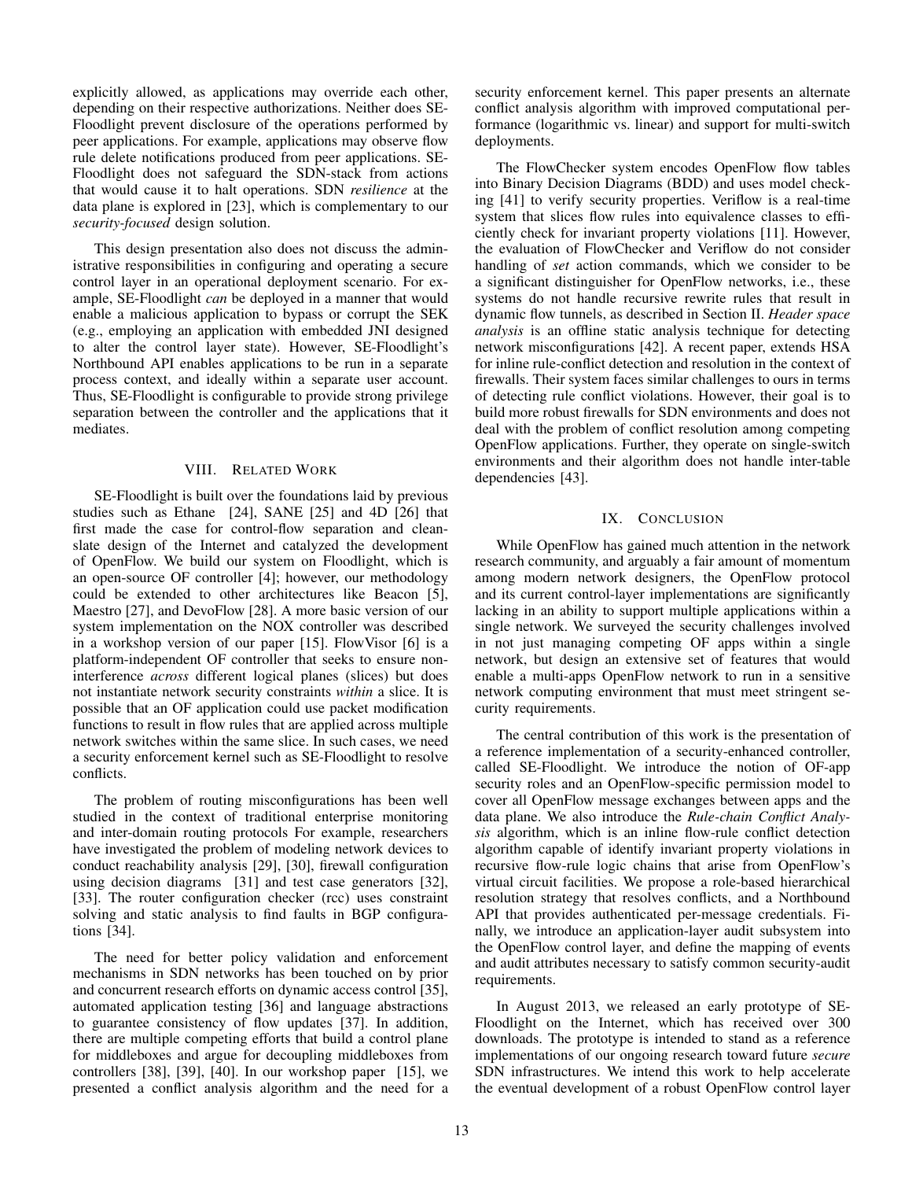explicitly allowed, as applications may override each other, depending on their respective authorizations. Neither does SE-Floodlight prevent disclosure of the operations performed by peer applications. For example, applications may observe flow rule delete notifications produced from peer applications. SE-Floodlight does not safeguard the SDN-stack from actions that would cause it to halt operations. SDN *resilience* at the data plane is explored in [23], which is complementary to our *security-focused* design solution.

This design presentation also does not discuss the administrative responsibilities in configuring and operating a secure control layer in an operational deployment scenario. For example, SE-Floodlight *can* be deployed in a manner that would enable a malicious application to bypass or corrupt the SEK (e.g., employing an application with embedded JNI designed to alter the control layer state). However, SE-Floodlight's Northbound API enables applications to be run in a separate process context, and ideally within a separate user account. Thus, SE-Floodlight is configurable to provide strong privilege separation between the controller and the applications that it mediates.

# VIII. RELATED WORK

SE-Floodlight is built over the foundations laid by previous studies such as Ethane [24], SANE [25] and 4D [26] that first made the case for control-flow separation and cleanslate design of the Internet and catalyzed the development of OpenFlow. We build our system on Floodlight, which is an open-source OF controller [4]; however, our methodology could be extended to other architectures like Beacon [5], Maestro [27], and DevoFlow [28]. A more basic version of our system implementation on the NOX controller was described in a workshop version of our paper [15]. FlowVisor [6] is a platform-independent OF controller that seeks to ensure noninterference *across* different logical planes (slices) but does not instantiate network security constraints *within* a slice. It is possible that an OF application could use packet modification functions to result in flow rules that are applied across multiple network switches within the same slice. In such cases, we need a security enforcement kernel such as SE-Floodlight to resolve conflicts.

The problem of routing misconfigurations has been well studied in the context of traditional enterprise monitoring and inter-domain routing protocols For example, researchers have investigated the problem of modeling network devices to conduct reachability analysis [29], [30], firewall configuration using decision diagrams [31] and test case generators [32], [33]. The router configuration checker (rcc) uses constraint solving and static analysis to find faults in BGP configurations [34].

The need for better policy validation and enforcement mechanisms in SDN networks has been touched on by prior and concurrent research efforts on dynamic access control [35], automated application testing [36] and language abstractions to guarantee consistency of flow updates [37]. In addition, there are multiple competing efforts that build a control plane for middleboxes and argue for decoupling middleboxes from controllers [38], [39], [40]. In our workshop paper [15], we presented a conflict analysis algorithm and the need for a security enforcement kernel. This paper presents an alternate conflict analysis algorithm with improved computational performance (logarithmic vs. linear) and support for multi-switch deployments.

The FlowChecker system encodes OpenFlow flow tables into Binary Decision Diagrams (BDD) and uses model checking [41] to verify security properties. Veriflow is a real-time system that slices flow rules into equivalence classes to efficiently check for invariant property violations [11]. However, the evaluation of FlowChecker and Veriflow do not consider handling of *set* action commands, which we consider to be a significant distinguisher for OpenFlow networks, i.e., these systems do not handle recursive rewrite rules that result in dynamic flow tunnels, as described in Section II. *Header space analysis* is an offline static analysis technique for detecting network misconfigurations [42]. A recent paper, extends HSA for inline rule-conflict detection and resolution in the context of firewalls. Their system faces similar challenges to ours in terms of detecting rule conflict violations. However, their goal is to build more robust firewalls for SDN environments and does not deal with the problem of conflict resolution among competing OpenFlow applications. Further, they operate on single-switch environments and their algorithm does not handle inter-table dependencies [43].

#### IX. CONCLUSION

While OpenFlow has gained much attention in the network research community, and arguably a fair amount of momentum among modern network designers, the OpenFlow protocol and its current control-layer implementations are significantly lacking in an ability to support multiple applications within a single network. We surveyed the security challenges involved in not just managing competing OF apps within a single network, but design an extensive set of features that would enable a multi-apps OpenFlow network to run in a sensitive network computing environment that must meet stringent security requirements.

The central contribution of this work is the presentation of a reference implementation of a security-enhanced controller, called SE-Floodlight. We introduce the notion of OF-app security roles and an OpenFlow-specific permission model to cover all OpenFlow message exchanges between apps and the data plane. We also introduce the *Rule-chain Conflict Analysis* algorithm, which is an inline flow-rule conflict detection algorithm capable of identify invariant property violations in recursive flow-rule logic chains that arise from OpenFlow's virtual circuit facilities. We propose a role-based hierarchical resolution strategy that resolves conflicts, and a Northbound API that provides authenticated per-message credentials. Finally, we introduce an application-layer audit subsystem into the OpenFlow control layer, and define the mapping of events and audit attributes necessary to satisfy common security-audit requirements.

In August 2013, we released an early prototype of SE-Floodlight on the Internet, which has received over 300 downloads. The prototype is intended to stand as a reference implementations of our ongoing research toward future *secure* SDN infrastructures. We intend this work to help accelerate the eventual development of a robust OpenFlow control layer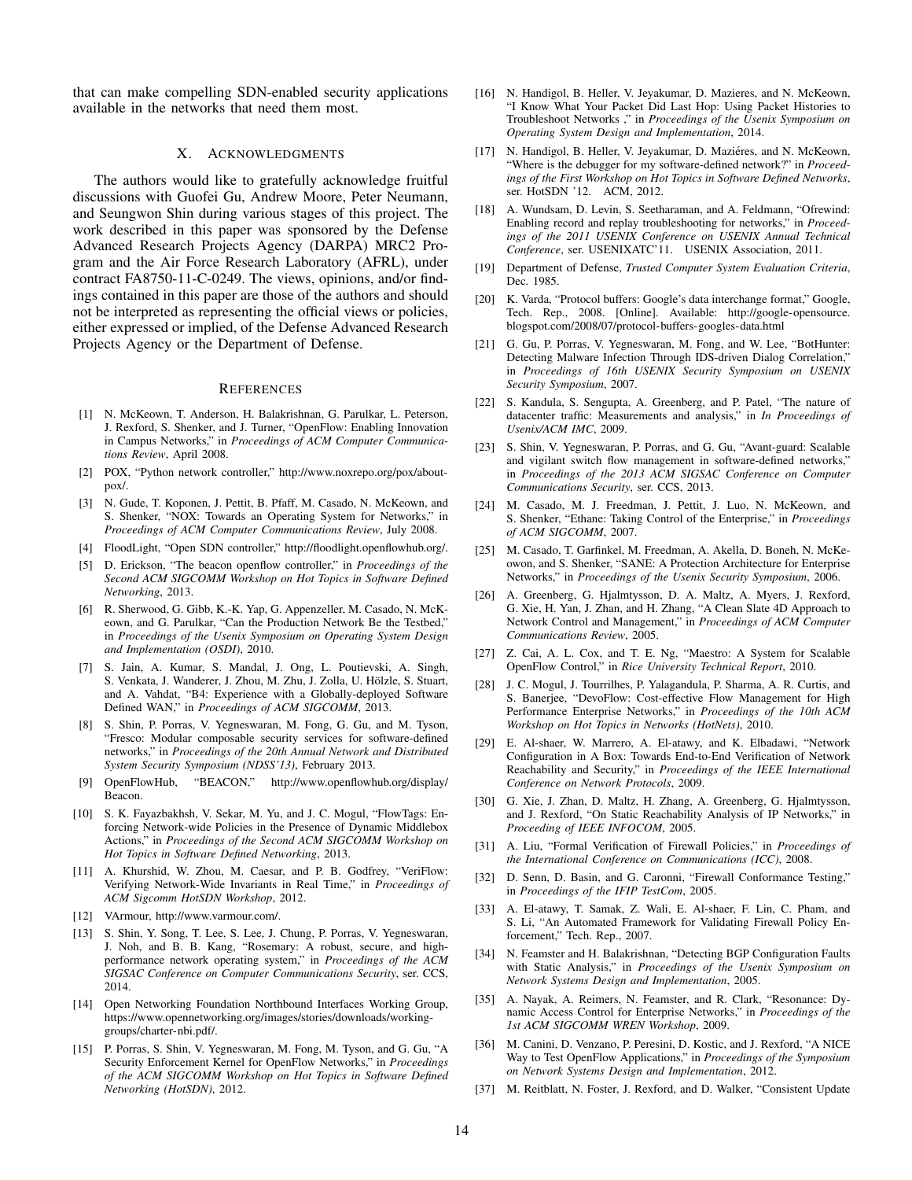that can make compelling SDN-enabled security applications available in the networks that need them most.

# X. ACKNOWLEDGMENTS

The authors would like to gratefully acknowledge fruitful discussions with Guofei Gu, Andrew Moore, Peter Neumann, and Seungwon Shin during various stages of this project. The work described in this paper was sponsored by the Defense Advanced Research Projects Agency (DARPA) MRC2 Program and the Air Force Research Laboratory (AFRL), under contract FA8750-11-C-0249. The views, opinions, and/or findings contained in this paper are those of the authors and should not be interpreted as representing the official views or policies, either expressed or implied, of the Defense Advanced Research Projects Agency or the Department of Defense.

#### **REFERENCES**

- [1] N. McKeown, T. Anderson, H. Balakrishnan, G. Parulkar, L. Peterson, J. Rexford, S. Shenker, and J. Turner, "OpenFlow: Enabling Innovation in Campus Networks," in *Proceedings of ACM Computer Communications Review*, April 2008.
- [2] POX, "Python network controller," http://www.noxrepo.org/pox/aboutpox/.
- [3] N. Gude, T. Koponen, J. Pettit, B. Pfaff, M. Casado, N. McKeown, and S. Shenker, "NOX: Towards an Operating System for Networks," in *Proceedings of ACM Computer Communications Review*, July 2008.
- [4] FloodLight, "Open SDN controller," http://floodlight.openflowhub.org/.
- [5] D. Erickson, "The beacon openflow controller," in *Proceedings of the Second ACM SIGCOMM Workshop on Hot Topics in Software Defined Networking*, 2013.
- [6] R. Sherwood, G. Gibb, K.-K. Yap, G. Appenzeller, M. Casado, N. McKeown, and G. Parulkar, "Can the Production Network Be the Testbed," in *Proceedings of the Usenix Symposium on Operating System Design and Implementation (OSDI)*, 2010.
- [7] S. Jain, A. Kumar, S. Mandal, J. Ong, L. Poutievski, A. Singh, S. Venkata, J. Wanderer, J. Zhou, M. Zhu, J. Zolla, U. Hölzle, S. Stuart, and A. Vahdat, "B4: Experience with a Globally-deployed Software Defined WAN," in *Proceedings of ACM SIGCOMM*, 2013.
- [8] S. Shin, P. Porras, V. Yegneswaran, M. Fong, G. Gu, and M. Tyson, "Fresco: Modular composable security services for software-defined networks," in *Proceedings of the 20th Annual Network and Distributed System Security Symposium (NDSS'13)*, February 2013.
- [9] OpenFlowHub, "BEACON," http://www.openflowhub.org/display/ Beacon.
- [10] S. K. Fayazbakhsh, V. Sekar, M. Yu, and J. C. Mogul, "FlowTags: Enforcing Network-wide Policies in the Presence of Dynamic Middlebox Actions," in *Proceedings of the Second ACM SIGCOMM Workshop on Hot Topics in Software Defined Networking*, 2013.
- [11] A. Khurshid, W. Zhou, M. Caesar, and P. B. Godfrey, "VeriFlow: Verifying Network-Wide Invariants in Real Time," in *Proceedings of ACM Sigcomm HotSDN Workshop*, 2012.
- [12] VArmour, http://www.varmour.com/.
- [13] S. Shin, Y. Song, T. Lee, S. Lee, J. Chung, P. Porras, V. Yegneswaran, J. Noh, and B. B. Kang, "Rosemary: A robust, secure, and highperformance network operating system," in *Proceedings of the ACM SIGSAC Conference on Computer Communications Security*, ser. CCS, 2014.
- [14] Open Networking Foundation Northbound Interfaces Working Group, https://www.opennetworking.org/images/stories/downloads/workinggroups/charter-nbi.pdf/.
- [15] P. Porras, S. Shin, V. Yegneswaran, M. Fong, M. Tyson, and G. Gu, "A Security Enforcement Kernel for OpenFlow Networks," in *Proceedings of the ACM SIGCOMM Workshop on Hot Topics in Software Defined Networking (HotSDN)*, 2012.
- [16] N. Handigol, B. Heller, V. Jeyakumar, D. Mazieres, and N. McKeown, "I Know What Your Packet Did Last Hop: Using Packet Histories to Troubleshoot Networks ," in *Proceedings of the Usenix Symposium on Operating System Design and Implementation*, 2014.
- [17] N. Handigol, B. Heller, V. Jeyakumar, D. Maziéres, and N. McKeown, "Where is the debugger for my software-defined network?" in *Proceedings of the First Workshop on Hot Topics in Software Defined Networks*, ser. HotSDN '12. ACM, 2012.
- [18] A. Wundsam, D. Levin, S. Seetharaman, and A. Feldmann, "Ofrewind: Enabling record and replay troubleshooting for networks," in *Proceedings of the 2011 USENIX Conference on USENIX Annual Technical Conference*, ser. USENIXATC'11. USENIX Association, 2011.
- [19] Department of Defense, *Trusted Computer System Evaluation Criteria*, Dec. 1985.
- [20] K. Varda, "Protocol buffers: Google's data interchange format," Google, Tech. Rep., 2008. [Online]. Available: http://google-opensource. blogspot.com/2008/07/protocol-buffers-googles-data.html
- [21] G. Gu, P. Porras, V. Yegneswaran, M. Fong, and W. Lee, "BotHunter: Detecting Malware Infection Through IDS-driven Dialog Correlation," in *Proceedings of 16th USENIX Security Symposium on USENIX Security Symposium*, 2007.
- [22] S. Kandula, S. Sengupta, A. Greenberg, and P. Patel, "The nature of datacenter traffic: Measurements and analysis," in *In Proceedings of Usenix/ACM IMC*, 2009.
- [23] S. Shin, V. Yegneswaran, P. Porras, and G. Gu, "Avant-guard: Scalable and vigilant switch flow management in software-defined networks," in *Proceedings of the 2013 ACM SIGSAC Conference on Computer Communications Security*, ser. CCS, 2013.
- [24] M. Casado, M. J. Freedman, J. Pettit, J. Luo, N. McKeown, and S. Shenker, "Ethane: Taking Control of the Enterprise," in *Proceedings of ACM SIGCOMM*, 2007.
- [25] M. Casado, T. Garfinkel, M. Freedman, A. Akella, D. Boneh, N. McKeowon, and S. Shenker, "SANE: A Protection Architecture for Enterprise Networks," in *Proceedings of the Usenix Security Symposium*, 2006.
- [26] A. Greenberg, G. Hjalmtysson, D. A. Maltz, A. Myers, J. Rexford, G. Xie, H. Yan, J. Zhan, and H. Zhang, "A Clean Slate 4D Approach to Network Control and Management," in *Proceedings of ACM Computer Communications Review*, 2005.
- [27] Z. Cai, A. L. Cox, and T. E. Ng, "Maestro: A System for Scalable OpenFlow Control," in *Rice University Technical Report*, 2010.
- [28] J. C. Mogul, J. Tourrilhes, P. Yalagandula, P. Sharma, A. R. Curtis, and S. Banerjee, "DevoFlow: Cost-effective Flow Management for High Performance Enterprise Networks," in *Proceedings of the 10th ACM Workshop on Hot Topics in Networks (HotNets)*, 2010.
- [29] E. Al-shaer, W. Marrero, A. El-atawy, and K. Elbadawi, "Network Configuration in A Box: Towards End-to-End Verification of Network Reachability and Security," in *Proceedings of the IEEE International Conference on Network Protocols*, 2009.
- [30] G. Xie, J. Zhan, D. Maltz, H. Zhang, A. Greenberg, G. Hjalmtysson, and J. Rexford, "On Static Reachability Analysis of IP Networks," in *Proceeding of IEEE INFOCOM*, 2005.
- [31] A. Liu, "Formal Verification of Firewall Policies," in *Proceedings of the International Conference on Communications (ICC)*, 2008.
- [32] D. Senn, D. Basin, and G. Caronni, "Firewall Conformance Testing," in *Proceedings of the IFIP TestCom*, 2005.
- [33] A. El-atawy, T. Samak, Z. Wali, E. Al-shaer, F. Lin, C. Pham, and S. Li, "An Automated Framework for Validating Firewall Policy Enforcement," Tech. Rep., 2007.
- [34] N. Feamster and H. Balakrishnan, "Detecting BGP Configuration Faults with Static Analysis," in *Proceedings of the Usenix Symposium on Network Systems Design and Implementation*, 2005.
- [35] A. Nayak, A. Reimers, N. Feamster, and R. Clark, "Resonance: Dynamic Access Control for Enterprise Networks," in *Proceedings of the 1st ACM SIGCOMM WREN Workshop*, 2009.
- [36] M. Canini, D. Venzano, P. Peresini, D. Kostic, and J. Rexford, "A NICE Way to Test OpenFlow Applications," in *Proceedings of the Symposium on Network Systems Design and Implementation*, 2012.
- [37] M. Reitblatt, N. Foster, J. Rexford, and D. Walker, "Consistent Update